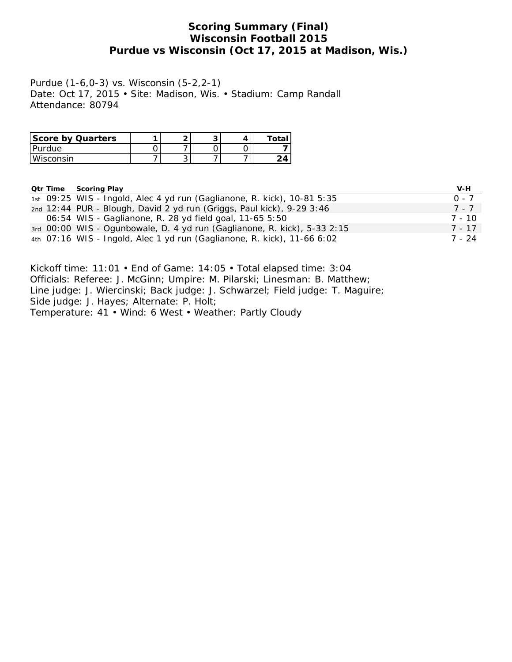# **Scoring Summary (Final) Wisconsin Football 2015 Purdue vs Wisconsin (Oct 17, 2015 at Madison, Wis.)**

Purdue (1-6,0-3) vs. Wisconsin (5-2,2-1) Date: Oct 17, 2015 • Site: Madison, Wis. • Stadium: Camp Randall Attendance: 80794

| Score by Quarters |   |  |  |
|-------------------|---|--|--|
| Purdue            |   |  |  |
| Wisconsin         | ◡ |  |  |

| <b>Qtr Time Scoring Play</b>                                             | V-H     |
|--------------------------------------------------------------------------|---------|
| 1st 09:25 WIS - Ingold, Alec 4 yd run (Gaglianone, R. kick), 10-81 5:35  | $0 - 7$ |
| 2nd 12:44 PUR - Blough, David 2 yd run (Griggs, Paul kick), 9-29 3:46    | 7 - 7   |
| 06:54 WIS - Gaglianone, R. 28 yd field goal, 11-65 5:50                  | 7 - 10  |
| 3rd 00:00 WIS - Ogunbowale, D. 4 yd run (Gaglianone, R. kick), 5-33 2:15 | 7 - 17  |
| 4th 07:16 WIS - Ingold, Alec 1 yd run (Gaglianone, R. kick), 11-66 6:02  | 7 - 24  |

Kickoff time: 11:01 • End of Game: 14:05 • Total elapsed time: 3:04 Officials: Referee: J. McGinn; Umpire: M. Pilarski; Linesman: B. Matthew; Line judge: J. Wiercinski; Back judge: J. Schwarzel; Field judge: T. Maguire; Side judge: J. Hayes; Alternate: P. Holt; Temperature: 41 • Wind: 6 West • Weather: Partly Cloudy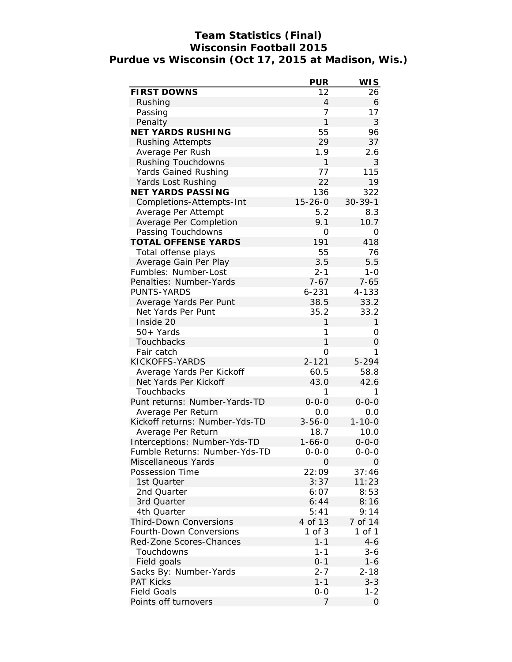# **Team Statistics (Final) Wisconsin Football 2015 Purdue vs Wisconsin (Oct 17, 2015 at Madison, Wis.)**

|                                | <b>PUR</b>     | WI S          |
|--------------------------------|----------------|---------------|
| FIRST DOWNS                    | 12             | 26            |
| Rushing                        | $\overline{4}$ | 6             |
| Passing                        | $\overline{7}$ | 17            |
| Penalty                        | 1              | 3             |
| <b>NET YARDS RUSHING</b>       | 55             | 96            |
| <b>Rushing Attempts</b>        | 29             | 37            |
| Average Per Rush               | 1.9            | 2.6           |
| Rushing Touchdowns             | 1              | 3             |
| Yards Gained Rushing           | 77             | 115           |
| Yards Lost Rushing             | 22             | 19            |
| NET YARDS PASSING              | 136            | 322           |
| Completions-Attempts-Int       | $15 - 26 - 0$  | $30 - 39 - 1$ |
| Average Per Attempt            | 5.2            | 8.3           |
| Average Per Completion         | 9.1            | 10.7          |
| Passing Touchdowns             | 0              | 0             |
| TOTAL OFFENSE YARDS            | 191            | 418           |
| Total offense plays            | 55             | 76            |
| Average Gain Per Play          | 3.5            | 5.5           |
| Fumbles: Number-Lost           | $2 - 1$        | $1 - 0$       |
| Penalties: Number-Yards        | $7 - 67$       | $7 - 65$      |
| PUNTS-YARDS                    | $6 - 231$      | 4-133         |
| Average Yards Per Punt         | 38.5           | 33.2          |
| Net Yards Per Punt             | 35.2           | 33.2          |
| Inside 20                      | 1              | $\mathbf{1}$  |
| 50+ Yards                      | 1              | Ο             |
| Touchbacks                     | 1              | 0             |
| Fair catch                     | 0              | 1             |
| KICKOFFS-YARDS                 | $2 - 121$      | 5-294         |
| Average Yards Per Kickoff      | 60.5           | 58.8          |
| Net Yards Per Kickoff          | 43.0           | 42.6          |
| Touchbacks                     | 1              | 1             |
| Punt returns: Number-Yards-TD  | $0 - 0 - 0$    | $0 - 0 - 0$   |
| Average Per Return             | 0.0            | 0.0           |
| Kickoff returns: Number-Yds-TD | $3 - 56 - 0$   | $1 - 10 - 0$  |
| Average Per Return             | 18.7           | 10.0          |
| Interceptions: Number-Yds-TD   | $1 - 66 - 0$   | $0 - 0 - 0$   |
| Fumble Returns: Number-Yds-TD  | $0 - 0 - 0$    | $0 - 0 - 0$   |
| Miscellaneous Yards            | 0              | 0             |
| Possession Time                | 22:09          | 37:46         |
| 1st Quarter                    | 3:37           | 11:23         |
| 2nd Quarter                    | 6:07           | 8:53          |
| 3rd Quarter                    | 6:44           | 8:16          |
| 4th Quarter                    | 5:41           | 9:14          |
| <b>Third-Down Conversions</b>  | 4 of 13        | 7 of 14       |
| Fourth-Down Conversions        | 1 of 3         | 1 of 1        |
| Red-Zone Scores-Chances        | $1 - 1$        | $4 - 6$       |
| Touchdowns                     | $1 - 1$        | 3-6           |
| Field goals                    | $0 - 1$        | $1 - 6$       |
| Sacks By: Number-Yards         | $2 - 7$        | $2 - 18$      |
| <b>PAT Kicks</b>               | $1 - 1$        | $3 - 3$       |
| <b>Field Goals</b>             | $0-0$          | 1-2           |
| Points off turnovers           | 7              | 0             |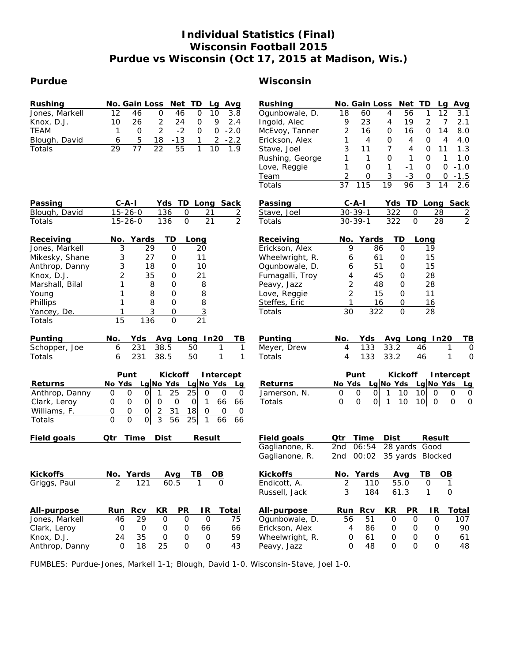# **Individual Statistics (Final) Wisconsin Football 2015 Purdue vs Wisconsin (Oct 17, 2015 at Madison, Wis.)**

## **Purdue Wisconsin**

| Rushing         | No. Gain Loss<br>Net<br>TD<br>Avg<br>Lg                                                              | Rushing         | No. Gain Loss<br>Net<br>TD<br>Avg<br>Lg                                                                                                |
|-----------------|------------------------------------------------------------------------------------------------------|-----------------|----------------------------------------------------------------------------------------------------------------------------------------|
| Jones, Markell  | 12<br>0<br>46<br>$\mathbf 0$<br>10<br>3.8<br>46                                                      | Ogunbowale, D.  | 18<br>1<br>3.1<br>4<br>56<br>12<br>60                                                                                                  |
| Knox, D.J.      | 10<br>26<br>2<br>24<br>9<br>2.4<br>0                                                                 | Ingold, Alec    | 9<br>23<br>19<br>2<br>7<br>2.1<br>4                                                                                                    |
| <b>TEAM</b>     | $\overline{2}$<br>$-2.0$<br>$-2$<br>$\overline{O}$<br>1<br>0<br>0                                    | McEvoy, Tanner  | 2<br>16<br>16<br>14<br>8.0<br>0<br>0                                                                                                   |
| Blough, David   | 5<br>6<br>18<br>$-13$<br>$-2.2$<br>2<br>1                                                            | Erickson, Alex  | 1<br>0<br>4<br>4.0<br>4<br>4<br>0                                                                                                      |
| Totals          | 77<br>22<br>29<br>55<br>10<br>1.9<br>1                                                               | Stave, Joel     | 3<br>11<br>7<br>4<br>0<br>11<br>1.3                                                                                                    |
|                 |                                                                                                      | Rushing, George | 1<br>0<br>0<br>1<br>1.0<br>1<br>1                                                                                                      |
|                 |                                                                                                      | Love, Reggie    | $\mathbf{1}$<br>1<br>$\mathbf{O}$<br>0<br>O<br>$-1.0$<br>$-1$                                                                          |
|                 |                                                                                                      | <b>Team</b>     | 3<br>2<br>$-3$<br>$\mathbf 0$<br>$-1.5$<br>0<br>O                                                                                      |
|                 |                                                                                                      | Totals          | 115<br>19<br>3<br>37<br>96<br>2.6<br>14                                                                                                |
| Passing         | $C$ -A-I<br>Yds<br>TD Long<br>Sack                                                                   | Passing         | Sack<br>$C-A-I$<br>Yds<br>TD Long                                                                                                      |
| Blough, David   | $15 - 26 - 0$<br>136<br>O<br>21<br>$\overline{2}$                                                    | Stave, Joel     | 322<br>$30 - 39 - 1$<br>0<br>28<br>$\frac{2}{2}$                                                                                       |
| Totals          | $\overline{2}$<br>$\overline{O}$<br>21<br>$15 - 26 - 0$<br>136                                       | Totals          | $\overline{O}$<br>28<br>$30 - 39 - 1$<br>322                                                                                           |
| Receiving       | Yards<br>ТD<br>No.<br>Long                                                                           | Receiving       | Yards<br>TD<br>No.<br>Long                                                                                                             |
| Jones, Markell  | 29<br>3<br>0<br>20                                                                                   | Erickson, Alex  | 9<br>86<br>$\Omega$<br>19                                                                                                              |
| Mikesky, Shane  | 3<br>27<br>11<br>0                                                                                   | Wheelwright, R. | 15<br>61<br>0<br>6                                                                                                                     |
| Anthrop, Danny  | 3<br>18<br>10<br>0                                                                                   | Ogunbowale, D.  | 51<br>15<br>$\mathbf 0$<br>6                                                                                                           |
| Knox, D.J.      | 2<br>21<br>35<br>0                                                                                   | Fumagalli, Troy | 4<br>45<br>28<br>0                                                                                                                     |
| Marshall, Bilal | 1<br>8<br>8<br>0                                                                                     | Peavy, Jazz     | $\overline{2}$<br>48<br>28<br>0                                                                                                        |
| Young           | 1<br>8<br>8<br>0                                                                                     | Love, Reggie    | $\overline{2}$<br>11<br>15<br>0                                                                                                        |
| Phillips        | 8<br>8<br>1<br>0                                                                                     | Steffes, Eric   | 1<br>16<br>0<br>16                                                                                                                     |
| Yancey, De.     | 3<br>$\overline{3}$<br>$\mathsf{O}\xspace$<br>1                                                      | Totals          | 30<br>322<br>28<br>$\Omega$                                                                                                            |
| Totals          | 15<br>136<br>$\mathbf 0$<br>$\overline{21}$                                                          |                 |                                                                                                                                        |
| Punting         | Avg Long In20<br>No.<br>Yds<br>TВ                                                                    | Punting         | Avg Long In20<br>No.<br>Yds<br>TВ                                                                                                      |
| Schopper, Joe   | 231<br>38.5<br>6<br>50<br>1<br>1                                                                     | Meyer, Drew     | 133<br>33.2<br>4<br>46<br>0<br>1                                                                                                       |
| Totals          | 1<br>6<br>231<br>38.5<br>50<br>1                                                                     | Totals          | 4<br>33.2<br>$\Omega$<br>133<br>46<br>$\mathbf{1}$                                                                                     |
|                 | Punt<br>Kickoff<br>Intercept                                                                         |                 | Punt<br>Kickoff<br>Intercept                                                                                                           |
| Returns         | Lg No Yds<br>Lg No Yds<br>No Yds<br>Lg                                                               | Returns         | $Lg$ No Yds<br>Lg No Yds<br>No Yds<br>Lg                                                                                               |
| Anthrop, Danny  | 25<br>25<br>$\circ$<br>$\mathbf 0$<br>0<br>0<br>0<br>0<br>1                                          | Jamerson, N.    | O<br>0<br>$\Omega$<br>10<br>10<br>0<br>0<br>$\overline{0}$<br>1                                                                        |
| Clark, Leroy    | $\overline{O}$<br>$\mathbf 0$<br>66<br>0<br>0<br>$\overline{O}$<br>66<br>0<br>1                      | Totals          | $\overline{O}$<br>$\overline{O}$<br> 0 <br>10<br>10 <sup>1</sup><br>$\overline{O}$<br>$\overline{O}$<br>$\mathbf{1}$<br>$\overline{O}$ |
| Williams, F.    | 0<br>0<br>18<br>$\mathbf{O}$<br>$\mathbf{O}$<br>2<br>31<br>$\mathbf 0$<br>0                          |                 |                                                                                                                                        |
| Totals          | $\overline{3}$<br>$\mathbf 0$<br>$\mathsf{O}$<br>$\mathsf O$<br>56<br>25<br>$\mathbf{1}$<br>66<br>66 |                 |                                                                                                                                        |
| Field goals     | Time<br>Dist<br>Qtr<br>Result                                                                        | Field goals     | Time<br>Qtr<br>Dist<br>Result                                                                                                          |
|                 |                                                                                                      | Gaglianone, R.  | 28 yards Good<br>2nd<br>06:54                                                                                                          |
|                 |                                                                                                      | Gaglianone, R.  | 2nd<br>00:02<br>35 yards Blocked                                                                                                       |
| Kickoffs        | No. Yards<br>TB.<br><b>OB</b><br>Ava                                                                 | Kickoffs        | <b>OB</b><br>No. Yards<br>TB<br>Ava                                                                                                    |
| Griggs, Paul    | $\overline{2}$<br>121<br>60.5<br>$\mathbf{O}$<br>1                                                   | Endicott, A.    | $\sqrt{2}$<br>55.0<br>$\mathbf{1}$<br>110<br>0                                                                                         |
|                 |                                                                                                      | Russell, Jack   | $\mathfrak{Z}$<br>184<br>61.3<br>$\mathbf 0$<br>1                                                                                      |
| All-purpose     | <b>Rcv</b><br>PR<br>Run<br>KR<br>IR.<br>Total                                                        | All-purpose     | PR<br>Total<br>Run<br>Rcv<br>KR<br>IR                                                                                                  |
| Jones, Markell  | 29<br>$\mathbf 0$<br>$\mathsf{O}$<br>$\mathsf{O}$<br>75<br>46                                        | Ogunbowale, D.  | 56<br>51<br>$\mathsf{O}$<br>$\mathsf{O}$<br>$\mathbf 0$<br>107                                                                         |
| Clark, Leroy    | $\circ$<br>O<br>O<br>66<br>66<br>0                                                                   | Erickson, Alex  | 86<br>90<br>4<br>0<br>0<br>0                                                                                                           |
| Knox, D.J.      | 24<br>35<br>$\mathsf{O}\xspace$<br>$\mathbf 0$<br>59<br>O                                            | Wheelwright, R. | 61<br>$\mathsf O$<br>61<br>0<br>0<br>0                                                                                                 |
| Anthrop, Danny  |                                                                                                      |                 |                                                                                                                                        |
|                 | $\mathsf O$<br>$\mathbf 0$<br>18<br>25<br>$\mathsf{O}\xspace$<br>43                                  | Peavy, Jazz     | 0<br>48<br>$\Omega$<br>$\mathbf{O}$<br>$\mathsf{O}$<br>48                                                                              |

FUMBLES: Purdue-Jones, Markell 1-1; Blough, David 1-0. Wisconsin-Stave, Joel 1-0.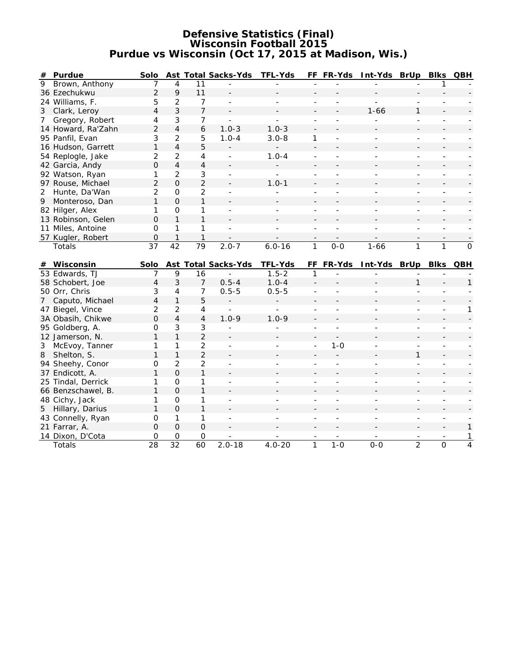#### **Defensive Statistics (Final) Wisconsin Football 2015 Purdue vs Wisconsin (Oct 17, 2015 at Madison, Wis.)**

| #              | Purdue                                 | Solo           |                     |                     | Ast Total Sacks-Yds      | TFL-Yds                  |                          | FF FR-Yds                | Int-Yds BrUp             |                          | Blks                     | QBH          |
|----------------|----------------------------------------|----------------|---------------------|---------------------|--------------------------|--------------------------|--------------------------|--------------------------|--------------------------|--------------------------|--------------------------|--------------|
| $\overline{9}$ | Brown, Anthony                         | $\overline{7}$ | $\overline{4}$      | 11                  |                          |                          |                          |                          |                          |                          | 1                        |              |
|                | 36 Ezechukwu                           | $\overline{2}$ | 9                   | 11                  |                          |                          |                          |                          |                          |                          |                          |              |
|                | 24 Williams, F.                        | 5              | 2                   | 7                   | $\overline{\phantom{a}}$ | $\frac{1}{2}$            | ÷,                       |                          | $\overline{a}$           |                          |                          |              |
|                | 3 Clark, Leroy                         | $\overline{4}$ | 3                   | 7                   |                          |                          |                          |                          | $1 - 66$                 | $\mathbf{1}$             |                          |              |
| 7 <sup>7</sup> | Gregory, Robert                        | 4              | 3                   | 7                   |                          |                          | $\overline{\phantom{a}}$ |                          |                          | $\overline{\phantom{a}}$ | $\overline{\phantom{a}}$ |              |
|                | 14 Howard, Ra'Zahn                     | $\overline{2}$ | $\overline{4}$      | 6                   | $1.0 - 3$                | $1.0 - 3$                |                          |                          |                          |                          |                          |              |
|                | 95 Panfil, Evan                        | 3              | $\overline{2}$      | 5                   | $1.0 - 4$                | $3.0 - 8$                | 1                        | $\overline{\phantom{a}}$ | $\overline{a}$           | $\overline{\phantom{a}}$ | $\overline{\phantom{a}}$ |              |
|                | 16 Hudson, Garrett                     | 1              | $\overline{4}$      | 5                   |                          |                          | $\overline{a}$           |                          |                          |                          |                          |              |
|                | 54 Replogle, Jake                      | $\overline{2}$ | $\overline{2}$      | $\overline{4}$      | $\sim$                   | $1.0 - 4$                | ÷,                       |                          | ÷                        | $\overline{a}$           | $\overline{\phantom{a}}$ |              |
|                | 42 Garcia, Andy                        | $\overline{O}$ | $\overline{4}$      | $\overline{4}$      | $\Box$                   |                          |                          |                          |                          |                          |                          |              |
|                | 92 Watson, Ryan                        | 1              | $\overline{2}$      | 3                   | ÷.                       | ÷.                       |                          |                          |                          | $\overline{a}$           |                          |              |
|                | 97 Rouse, Michael                      | $\overline{2}$ | $\overline{O}$      | $\overline{2}$      |                          | $1.0 - 1$                |                          |                          |                          |                          |                          |              |
| 2              | Hunte, Da'Wan                          | $\overline{2}$ | $\overline{O}$      | $\overline{2}$      |                          |                          |                          |                          |                          |                          |                          |              |
|                | 9 Monteroso, Dan                       | $\mathbf{1}$   | $\Omega$            | $\mathbf{1}$        |                          |                          |                          |                          |                          |                          |                          |              |
|                | 82 Hilger, Alex                        | 1              | $\mathsf{O}\xspace$ | 1                   |                          |                          |                          |                          |                          |                          |                          |              |
|                | 13 Robinson, Gelen                     | $\overline{O}$ | $\mathbf{1}$        | 1                   |                          |                          |                          |                          |                          |                          |                          |              |
|                | 11 Miles, Antoine                      | $\mathbf{O}$   | 1                   | 1                   |                          |                          |                          |                          |                          |                          |                          |              |
|                | 57 Kugler, Robert                      | $\mathsf O$    | $\mathbf{1}$        | 1                   |                          |                          |                          |                          |                          |                          |                          |              |
|                | Totals                                 | 37             | $\overline{42}$     | $\overline{79}$     | $2.0 - 7$                | $6.0 - 16$               | $\mathbf{1}$             | $O - O$                  | $1 - 66$                 | $\mathbf{1}$             | $\mathbf{1}$             | $\mathbf{O}$ |
|                |                                        |                |                     |                     |                          |                          |                          |                          |                          |                          |                          |              |
|                |                                        |                |                     |                     |                          |                          |                          |                          |                          |                          |                          |              |
|                | # Wisconsin                            | Solo           |                     |                     | Ast Total Sacks-Yds      | TFL-Yds                  |                          | FF FR-Yds                | Int-Yds BrUp             |                          | Blks QBH                 |              |
|                | 53 Edwards, TJ                         | $\overline{7}$ | 9                   | 16                  |                          | $1.5 - 2$                | 1                        |                          |                          |                          |                          |              |
|                | 58 Schobert, Joe                       | $\overline{4}$ | 3                   | $\overline{7}$      | $0.5 - 4$                | $1.0 - 4$                |                          |                          |                          | $\mathbf{1}$             |                          | $\mathbf{1}$ |
|                | 50 Orr, Chris                          | 3              | 4                   | $\overline{7}$      | $0.5 - 5$                | $0.5 - 5$                |                          |                          |                          |                          |                          |              |
| 7              | Caputo, Michael                        | $\overline{4}$ | $\mathbf{1}$        | 5                   |                          |                          |                          |                          |                          |                          |                          |              |
|                | 47 Biegel, Vince                       | $\overline{2}$ | $\overline{2}$      | $\overline{4}$      |                          |                          | ÷,                       | ÷,                       |                          | $\overline{\phantom{a}}$ | $\overline{\phantom{0}}$ | 1            |
|                | 3A Obasih, Chikwe                      | $\mathbf 0$    | $\overline{4}$      | $\overline{4}$      | $1.0 - 9$                | $1.0 - 9$                |                          |                          |                          |                          |                          |              |
|                | 95 Goldberg, A.                        | $\mathsf{O}$   | 3                   | 3                   |                          |                          |                          |                          |                          |                          |                          |              |
|                | 12 Jamerson, N.                        | 1              | $\mathbf{1}$        | $\overline{2}$      |                          |                          |                          |                          |                          |                          |                          |              |
| 3              | McEvoy, Tanner                         | 1              | 1                   | $\overline{2}$      | $\overline{\phantom{a}}$ | $\overline{\phantom{0}}$ | $\overline{\phantom{a}}$ | $1 - 0$                  |                          | ÷,                       |                          |              |
| 8              | Shelton, S.                            | 1              | $\mathbf{1}$        | $\overline{2}$      |                          |                          |                          |                          |                          | $\mathbf{1}$             |                          |              |
|                | 94 Sheehy, Conor                       | O              | $\overline{2}$      | $\overline{2}$      |                          |                          |                          |                          |                          | L,                       |                          |              |
|                | 37 Endicott, A.                        | 1              | $\Omega$            | 1                   |                          |                          |                          |                          |                          |                          |                          |              |
|                | 25 Tindal, Derrick                     | 1              | $\mathsf O$         | 1                   | $\overline{\phantom{a}}$ | $\overline{\phantom{0}}$ | $\overline{\phantom{a}}$ | $\overline{\phantom{a}}$ | $\overline{\phantom{a}}$ | $\overline{\phantom{a}}$ | $\overline{\phantom{a}}$ |              |
|                |                                        | 1              | $\mathbf{O}$        | 1                   |                          |                          |                          |                          |                          |                          |                          |              |
|                | 66 Benzschawel, B.                     | 1              | $\mathsf{O}\xspace$ | 1                   | $\sim$                   |                          |                          | $\overline{a}$           |                          | $\overline{\phantom{a}}$ | $\overline{\phantom{a}}$ |              |
|                | 48 Cichy, Jack                         | 1              | $\Omega$            | $\mathbf{1}$        |                          |                          |                          |                          |                          |                          |                          |              |
|                | 5 Hillary, Darius<br>43 Connelly, Ryan | $\mathbf{O}$   | 1                   | 1                   | $\sim$                   | ÷.                       |                          | $\overline{a}$           |                          | $\overline{\phantom{a}}$ | $\overline{\phantom{a}}$ |              |
|                | 21 Farrar, A.                          | $\overline{O}$ | $\overline{O}$      | $\mathbf 0$         |                          |                          |                          |                          |                          |                          |                          | 1            |
|                | 14 Dixon, D'Cota                       | $\mathsf O$    | $\mathsf O$         | $\mathsf{O}\xspace$ |                          |                          |                          |                          |                          | $\overline{2}$           |                          | 1            |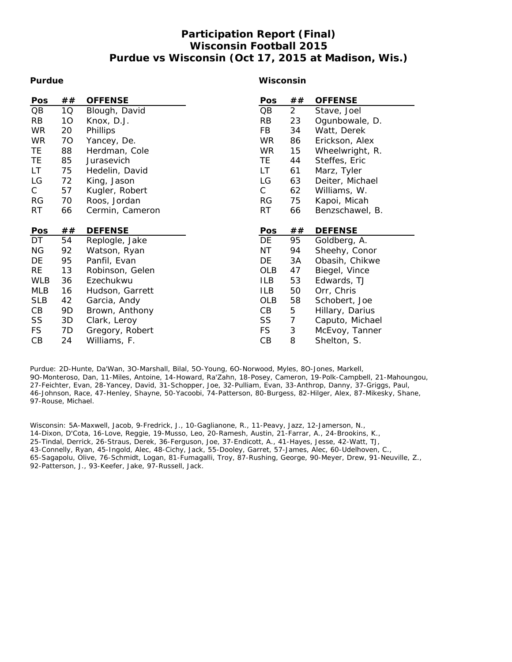# **Participation Report (Final) Wisconsin Football 2015 Purdue vs Wisconsin (Oct 17, 2015 at Madison, Wis.)**

#### **Purdue**

#### **Wisconsin**

| <b>Pos</b> | ## | <b>OFFENSE</b>                  | Pos          | ##             | <b>OFFENSE</b>                    |
|------------|----|---------------------------------|--------------|----------------|-----------------------------------|
| QB         | 1Q | Blough, David                   | QB           | $\overline{a}$ | Stave, Joel                       |
| <b>RB</b>  | 10 | Knox, D.J.                      | RB           | 23             | Ogunbowale, D.                    |
| <b>WR</b>  | 20 | Phillips                        | FB           | 34             | Watt, Derek                       |
| <b>WR</b>  | 70 | Yancey, De.                     | <b>WR</b>    | 86             | Erickson, Alex                    |
| TE.        | 88 | Herdman, Cole                   | <b>WR</b>    | 15             | Wheelwright, R.                   |
| TE.        | 85 | Jurasevich                      | TE.          | 44             | Steffes, Eric                     |
| LT         | 75 | Hedelin, David                  | LT           | 61             | Marz, Tyler                       |
| LG         | 72 | King, Jason                     | LG           | 63             | Deiter, Michael                   |
| С          | 57 | Kugler, Robert                  | $\mathsf{C}$ | 62             | Williams, W.                      |
| <b>RG</b>  | 70 | Roos, Jordan                    | <b>RG</b>    | 75             | Kapoi, Micah                      |
| RT         | 66 | Cermin, Cameron                 | <b>RT</b>    | 66             | Benzschawel, B.                   |
|            |    |                                 |              |                |                                   |
| Pos        | ## | <b>DEFENSE</b>                  | Pos          | ##             | <b>DEFENSE</b>                    |
|            |    |                                 |              |                |                                   |
| DT         | 54 | Replogle, Jake                  | DE           | 95             | Goldberg, A.                      |
| ΝG         | 92 | Watson, Ryan                    | ΝT           | 94             | Sheehy, Conor                     |
| DE         | 95 | Panfil, Evan                    | DE           | 3A             | Obasih, Chikwe                    |
| <b>RE</b>  | 13 | Robinson, Gelen                 | OLB          | 47             | Biegel, Vince                     |
| <b>WLB</b> | 36 | Ezechukwu                       | <b>ILB</b>   | 53             | Edwards, TJ                       |
| MLB        | 16 | Hudson, Garrett                 | <b>ILB</b>   | 50             | Orr, Chris                        |
| <b>SLB</b> | 42 |                                 | OLB          | 58             | Schobert, Joe                     |
| CB         | 9D | Garcia, Andy<br>Brown, Anthony  | CВ           | 5              | Hillary, Darius                   |
| SS         | 3D |                                 | SS           | $\overline{7}$ |                                   |
| <b>FS</b>  | 7D | Clark, Leroy<br>Gregory, Robert | <b>FS</b>    | 3              | Caputo, Michael<br>McEvoy, Tanner |

Purdue: 2D-Hunte, Da'Wan, 3O-Marshall, Bilal, 5O-Young, 6O-Norwood, Myles, 8O-Jones, Markell, 9O-Monteroso, Dan, 11-Miles, Antoine, 14-Howard, Ra'Zahn, 18-Posey, Cameron, 19-Polk-Campbell, 21-Mahoungou, 27-Feichter, Evan, 28-Yancey, David, 31-Schopper, Joe, 32-Pulliam, Evan, 33-Anthrop, Danny, 37-Griggs, Paul, 46-Johnson, Race, 47-Henley, Shayne, 50-Yacoobi, 74-Patterson, 80-Burgess, 82-Hilger, Alex, 87-Mikesky, Shane, 97-Rouse, Michael.

Wisconsin: 5A-Maxwell, Jacob, 9-Fredrick, J., 10-Gaglianone, R., 11-Peavy, Jazz, 12-Jamerson, N., 14-Dixon, D'Cota, 16-Love, Reggie, 19-Musso, Leo, 20-Ramesh, Austin, 21-Farrar, A., 24-Brookins, K., 25-Tindal, Derrick, 26-Straus, Derek, 36-Ferguson, Joe, 37-Endicott, A., 41-Hayes, Jesse, 42-Watt, TJ, 43-Connelly, Ryan, 45-Ingold, Alec, 48-Cichy, Jack, 55-Dooley, Garret, 57-James, Alec, 60-Udelhoven, C., 65-Sagapolu, Olive, 76-Schmidt, Logan, 81-Fumagalli, Troy, 87-Rushing, George, 90-Meyer, Drew, 91-Neuville, Z., 92-Patterson, J., 93-Keefer, Jake, 97-Russell, Jack.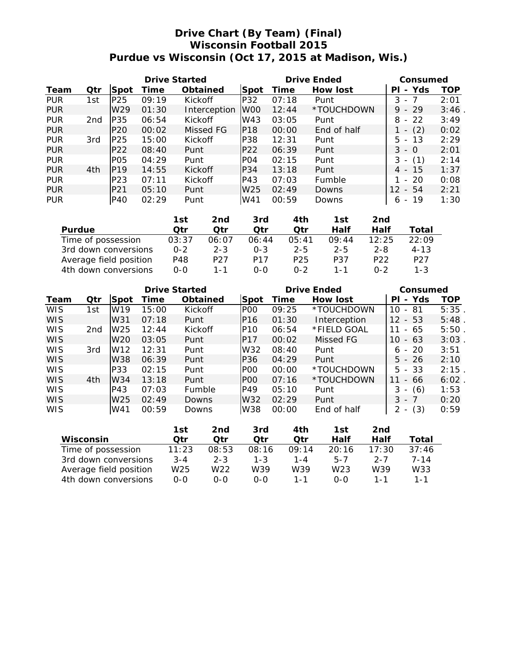# **Drive Chart (By Team) (Final) Wisconsin Football 2015 Purdue vs Wisconsin (Oct 17, 2015 at Madison, Wis.)**

|            |     |                             | Drive Started |              | Drive Ended      |       |               | Consumed                              |      |  |
|------------|-----|-----------------------------|---------------|--------------|------------------|-------|---------------|---------------------------------------|------|--|
| Team       | Qtr | <b>Spot</b>                 | Time          | Obtained     | Spot             | Time  | How lost      | Yds<br>PL<br>$\overline{\phantom{a}}$ | TOP  |  |
| <b>PUR</b> | 1st | P <sub>25</sub>             | 09:19         | Kickoff      | P32              | 07:18 | Punt          | 3 - 7                                 | 2:01 |  |
| <b>PUR</b> |     | W <sub>29</sub>             | 01:30         | Interception | W <sub>00</sub>  | 12:44 | *TOUCHDOWN    | $9 - 29$                              | 3:46 |  |
| <b>PUR</b> | 2nd | P35                         | 06:54         | Kickoff      | W43              | 03:05 | Punt          | $-22$<br>8                            | 3:49 |  |
| <b>PUR</b> |     | P20                         | 00:02         | Missed FG    | P <sub>18</sub>  | 00:00 | End of half   | (2)<br>$\overline{\phantom{a}}$       | 0:02 |  |
| <b>PUR</b> | 3rd | P25                         | 15:00         | Kickoff      | P38              | 12:31 | Punt          | 5.<br>-13<br>$-$                      | 2:29 |  |
| <b>PUR</b> |     | P22                         | 08:40         | Punt         | P22              | 06:39 | Punt          | $3 - 0$                               | 2:01 |  |
| <b>PUR</b> |     | P <sub>O</sub> <sub>5</sub> | 04:29         | Punt         | P <sub>O</sub> 4 | 02:15 | Punt          | 3<br>(1)<br>$\overline{\phantom{a}}$  | 2:14 |  |
| <b>PUR</b> | 4th | <b>P19</b>                  | 14:55         | Kickoff      | P34              | 13:18 | Punt          | 4 - 15                                | 1:37 |  |
| <b>PUR</b> |     | P <sub>23</sub>             | 07:11         | Kickoff      | P43              | 07:03 | <b>Fumble</b> | $-20$                                 | 0:08 |  |
| <b>PUR</b> |     | P21                         | 05:10         | Punt         | W <sub>25</sub>  | 02:49 | Downs         | - 54<br>12                            | 2:21 |  |
| <b>PUR</b> |     | IP40                        | 02:29         | Punt         | W41              | 00:59 | Downs         | -19<br>6<br>$\overline{\phantom{0}}$  | 1:30 |  |

|                        | 1st     | 2nd.            | 3rd             | 4th             | 1st     | 2nd             |                 |
|------------------------|---------|-----------------|-----------------|-----------------|---------|-----------------|-----------------|
| Purdue                 | Otr     | ∩tr             | Otr             | ∩tr             | Half    | Half            | Total           |
| Time of possession     | 03:37   | 06:07           | 06:44           | 05:41           | 09:44   | 12:25           | 22:09           |
| 3rd down conversions   | $0 - 2$ | $2 - 3$         | $0 - 3$         | $2 - 5$         | $2 - 5$ | $2 - 8$         | $4 - 13$        |
| Average field position | P48     | P <sub>27</sub> | P <sub>17</sub> | P <sub>25</sub> | P37     | P <sub>22</sub> | P <sub>27</sub> |
| 4th down conversions   | 0-0     | 1 - 1           | റ-റ             | $0 - 2$         | 1 - 1   | በ-2             | $1 - 3$         |

|            | Drive Started |                 |       |         |                         |                  | Drive Ended |              |                 | Consumed                                |            |
|------------|---------------|-----------------|-------|---------|-------------------------|------------------|-------------|--------------|-----------------|-----------------------------------------|------------|
| Team       | Qtr           | Spot            | Time  |         | Obtained                | Spot             | Time        | How lost     |                 | - Yds<br>PL                             | <b>TOP</b> |
| <b>WIS</b> | 1st           | W19             | 15:00 | Kickoff |                         | P <sub>00</sub>  | 09:25       | *TOUCHDOWN   |                 | 10<br>$-81$                             | 5:35       |
| <b>WIS</b> |               | W31             | 07:18 |         | P <sub>16</sub><br>Punt |                  | 01:30       | Interception |                 | 12 <sup>1</sup><br>- 53                 | 5:48       |
| <b>WIS</b> | 2nd           | W <sub>25</sub> | 12:44 | Kickoff |                         | P <sub>10</sub>  | 06:54       | *FIELD GOAL  |                 | - 65<br>11                              | 5:50       |
| <b>WIS</b> |               | W <sub>20</sub> | 03:05 | Punt    |                         | P17              | 00:02       | Missed FG    |                 | 10<br>- 63                              | 3:03       |
| <b>WIS</b> | 3rd           | W <sub>12</sub> | 12:31 | Punt    |                         | W32              | 08:40       | Punt         |                 | $6 - 20$                                | 3:51       |
| <b>WIS</b> |               | W38             | 06:39 | Punt    |                         | P36              | 04:29       | Punt         |                 | $5 - 26$                                | 2:10       |
| <b>WIS</b> |               | P33             | 02:15 | Punt    |                         | P <sub>00</sub>  | 00:00       | *TOUCHDOWN   |                 | $5 - 33$                                | 2:15       |
| <b>WIS</b> | 4th           | W34             | 13:18 | Punt    |                         | P <sub>O</sub> O | 07:16       | *TOUCHDOWN   |                 | - 66<br>11                              | 6:02       |
| <b>WIS</b> |               | P43             | 07:03 | Fumble  |                         | P49              | 05:10       | Punt         |                 | 3<br>(6)<br>$\sim$                      | 1:53       |
| <b>WIS</b> |               | W <sub>25</sub> | 02:49 | Downs   |                         | W32              | 02:29       | Punt         |                 | $3 - 7$                                 | 0:20       |
| <b>WIS</b> |               | W41             | 00:59 | Downs   |                         | W38              | 00:00       | End of half  |                 | $\overline{2}$<br>(3)<br>$\sim$ $ \sim$ | 0:59       |
|            |               |                 |       |         |                         |                  |             |              |                 |                                         |            |
|            |               |                 |       | 1st     | 2 <sub>nd</sub>         | 3rd              | 4th         | 1st          | 2 <sub>nd</sub> |                                         |            |

|                        | .       | .       | .     | .       | .       | .       |       |
|------------------------|---------|---------|-------|---------|---------|---------|-------|
| Wisconsin              | ∩tr     | .)tr    | 7tr   | ่าtr    | Half    | Half    | Total |
| Time of possession     | 11:23   | 08:53   | 08:16 | 09.14   | 20:16   | 17:30   | 37:46 |
| 3rd down conversions   | $3 - 4$ | $2 - 3$ | 1-3   | $1 - 4$ | $5 - 7$ | $2 - 7$ | 7-14  |
| Average field position | W25     | W22     | W39   | W39     | W23     | W39     | W33   |
| 4th down conversions   | $0 - 0$ | 0-0     | ი-ი   | 1 - 1   | റ-റ     |         | 1 - 1 |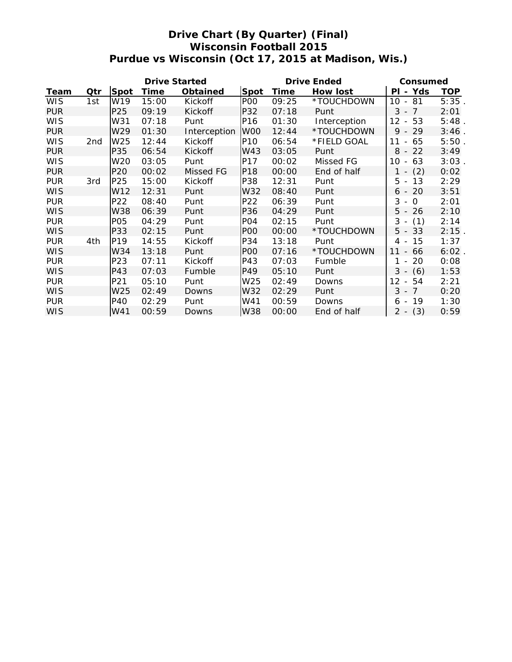# **Drive Chart (By Quarter) (Final) Wisconsin Football 2015 Purdue vs Wisconsin (Oct 17, 2015 at Madison, Wis.)**

| Drive Started |                 |                 |       |              |                 |       | Drive Ended  | Consumed                             |          |
|---------------|-----------------|-----------------|-------|--------------|-----------------|-------|--------------|--------------------------------------|----------|
| Team          | Qtr             | Spot            | Time  | Obtained     | Spot            | Time  | How lost     | - Yds<br>ΡI                          | TOP      |
| <b>WIS</b>    | 1st             | W <sub>19</sub> | 15:00 | Kickoff      | P <sub>O</sub>  | 09:25 | *TOUCHDOWN   | 81<br>10<br>$\overline{\phantom{a}}$ | $5:35$ . |
| <b>PUR</b>    |                 | P25             | 09:19 | Kickoff      | P32             | 07:18 | Punt         | $3 - 7$                              | 2:01     |
| <b>WIS</b>    |                 | W31             | 07:18 | Punt         | P16             | 01:30 | Interception | $12 -$<br>53                         | $5:48$ . |
| <b>PUR</b>    |                 | W29             | 01:30 | Interception | W <sub>00</sub> | 12:44 | *TOUCHDOWN   | $9 - 29$                             | 3:46.    |
| <b>WIS</b>    | 2 <sub>nd</sub> | W <sub>25</sub> | 12:44 | Kickoff      | P <sub>10</sub> | 06:54 | *FIELD GOAL  | 11<br>65<br>$\overline{\phantom{a}}$ | 5:50.    |
| <b>PUR</b>    |                 | P35             | 06:54 | Kickoff      | W43             | 03:05 | Punt         | $8 - 22$                             | 3:49     |
| <b>WIS</b>    |                 | W20             | 03:05 | Punt         | P17             | 00:02 | Missed FG    | 10<br>63<br>$\overline{\phantom{a}}$ | 3:03     |
| <b>PUR</b>    |                 | P <sub>20</sub> | 00:02 | Missed FG    | P18             | 00:00 | End of half  | (2)<br>$1 -$                         | 0:02     |
| <b>PUR</b>    | 3rd             | P25             | 15:00 | Kickoff      | P38             | 12:31 | Punt         | 13<br>5<br>$\blacksquare$            | 2:29     |
| <b>WIS</b>    |                 | W12             | 12:31 | Punt         | W32             | 08:40 | Punt         | 20<br>6 -                            | 3:51     |
| <b>PUR</b>    |                 | P22             | 08:40 | Punt         | P22             | 06:39 | Punt         | $3 -$<br>$\circ$                     | 2:01     |
| <b>WIS</b>    |                 | W38             | 06:39 | Punt         | P36             | 04:29 | Punt         | $5 - 26$                             | 2:10     |
| <b>PUR</b>    |                 | P05             | 04:29 | Punt         | PO <sub>4</sub> | 02:15 | Punt         | $3 - (1)$                            | 2:14     |
| <b>WIS</b>    |                 | P33             | 02:15 | Punt         | P <sub>O</sub>  | 00:00 | *TOUCHDOWN   | $5 - 33$                             | 2:15     |
| <b>PUR</b>    | 4th             | P19             | 14:55 | Kickoff      | P34             | 13:18 | Punt         | 15<br>$4 -$                          | 1:37     |
| <b>WIS</b>    |                 | W34             | 13:18 | Punt         | P <sub>O</sub>  | 07:16 | *TOUCHDOWN   | 11<br>- 66                           | $6:02$ . |
| <b>PUR</b>    |                 | P23             | 07:11 | Kickoff      | P43             | 07:03 | Fumble       | 20<br>1<br>$\overline{\phantom{a}}$  | 0:08     |
| <b>WIS</b>    |                 | P43             | 07:03 | Fumble       | P49             | 05:10 | Punt         | $3 - (6)$                            | 1:53     |
| <b>PUR</b>    |                 | P21             | 05:10 | Punt         | W <sub>25</sub> | 02:49 | Downs        | 12<br>54<br>$\mathbb{L}$             | 2:21     |
| <b>WIS</b>    |                 | W25             | 02:49 | Downs        | W32             | 02:29 | Punt         | $3 - 7$                              | 0:20     |
| <b>PUR</b>    |                 | P40             | 02:29 | Punt         | W41             | 00:59 | Downs        | 19<br>6<br>$\sim$                    | 1:30     |
| <b>WIS</b>    |                 | W41             | 00:59 | Downs        | W38             | 00:00 | End of half  | (3)<br>$2 -$                         | 0:59     |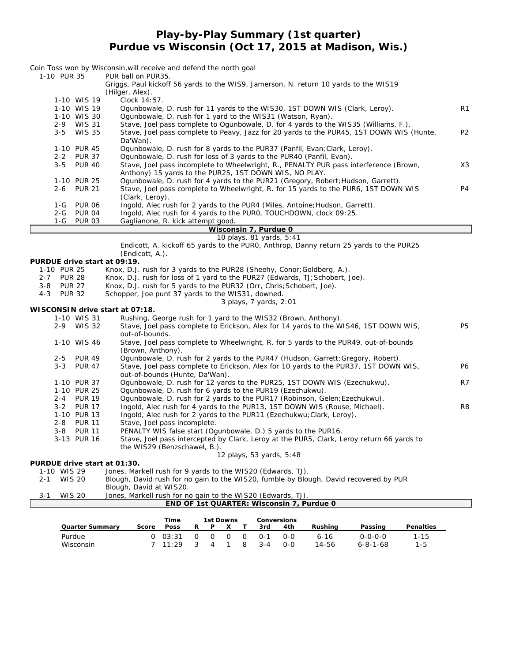**Play-by-Play Summary (1st quarter) Purdue vs Wisconsin (Oct 17, 2015 at Madison, Wis.)**

| 1-10 PUR 35                                    | Coin Toss won by Wisconsin, will receive and defend the north goal<br>PUR ball on PUR35.                                                            |                |
|------------------------------------------------|-----------------------------------------------------------------------------------------------------------------------------------------------------|----------------|
|                                                | Griggs, Paul kickoff 56 yards to the WIS9, Jamerson, N. return 10 yards to the WIS19<br>(Hilger, Alex).                                             |                |
| 1-10 WIS 19                                    | Clock 14:57.                                                                                                                                        |                |
| 1-10 WIS 19                                    | Ogunbowale, D. rush for 11 yards to the WIS30, 1ST DOWN WIS (Clark, Leroy).                                                                         | R1             |
| 1-10 WIS 30                                    | Ogunbowale, D. rush for 1 yard to the WIS31 (Watson, Ryan).                                                                                         |                |
| 2-9 WIS 31                                     | Stave, Joel pass complete to Ogunbowale, D. for 4 yards to the WIS35 (Williams, F.).                                                                |                |
| $3 - 5$<br><b>WIS 35</b>                       | Stave, Joel pass complete to Peavy, Jazz for 20 yards to the PUR45, 1ST DOWN WIS (Hunte,<br>Da'Wan).                                                | P <sub>2</sub> |
| 1-10 PUR 45                                    | Ogunbowale, D. rush for 8 yards to the PUR37 (Panfil, Evan; Clark, Leroy).                                                                          |                |
| 2-2 PUR 37                                     | Ogunbowale, D. rush for loss of 3 yards to the PUR40 (Panfil, Evan).                                                                                |                |
| $3 - 5$<br><b>PUR 40</b>                       | Stave, Joel pass incomplete to Wheelwright, R., PENALTY PUR pass interference (Brown,                                                               | X3             |
|                                                | Anthony) 15 yards to the PUR25, 1ST DOWN WIS, NO PLAY.                                                                                              |                |
| 1-10 PUR 25                                    | Ogunbowale, D. rush for 4 yards to the PUR21 (Gregory, Robert; Hudson, Garrett).                                                                    |                |
| <b>PUR 21</b><br>2-6                           | Stave, Joel pass complete to Wheelwright, R. for 15 yards to the PUR6, 1ST DOWN WIS                                                                 | P4             |
|                                                | (Clark, Leroy).                                                                                                                                     |                |
| 1-G<br>PUR 06                                  | Ingold, Alec rush for 2 yards to the PUR4 (Miles, Antoine; Hudson, Garrett).                                                                        |                |
| 2-G PUR 04                                     | Ingold, Alec rush for 4 yards to the PURO, TOUCHDOWN, clock 09:25.                                                                                  |                |
| 1-G PUR 03                                     | Gaglianone, R. kick attempt good.                                                                                                                   |                |
|                                                | Wisconsin 7, Purdue 0<br>10 plays, 81 yards, 5:41                                                                                                   |                |
|                                                | Endicott, A. kickoff 65 yards to the PURO, Anthrop, Danny return 25 yards to the PUR25                                                              |                |
|                                                | (Endicott, A.).                                                                                                                                     |                |
| PURDUE drive start at 09:19.                   |                                                                                                                                                     |                |
| 1-10 PUR 25                                    | Knox, D.J. rush for 3 yards to the PUR28 (Sheehy, Conor; Goldberg, A.).                                                                             |                |
| <b>PUR 28</b><br>2-7                           | Knox, D.J. rush for loss of 1 yard to the PUR27 (Edwards, TJ; Schobert, Joe).                                                                       |                |
| $3 - 8$<br><b>PUR 27</b>                       | Knox, D.J. rush for 5 yards to the PUR32 (Orr, Chris; Schobert, Joe).                                                                               |                |
| $4 - 3$<br><b>PUR 32</b>                       | Schopper, Joe punt 37 yards to the WIS31, downed.                                                                                                   |                |
|                                                | 3 plays, 7 yards, 2:01                                                                                                                              |                |
| WISCONSIN drive start at 07:18.<br>1-10 WIS 31 | Rushing, George rush for 1 yard to the WIS32 (Brown, Anthony).                                                                                      |                |
| 2-9 WIS 32                                     | Stave, Joel pass complete to Erickson, Alex for 14 yards to the WIS46, 1ST DOWN WIS,                                                                | <b>P5</b>      |
|                                                | out-of-bounds.                                                                                                                                      |                |
| 1-10 WIS 46                                    | Stave, Joel pass complete to Wheelwright, R. for 5 yards to the PUR49, out-of-bounds                                                                |                |
|                                                | (Brown, Anthony).                                                                                                                                   |                |
| $2 - 5$<br><b>PUR 49</b>                       | Ogunbowale, D. rush for 2 yards to the PUR47 (Hudson, Garrett; Gregory, Robert).                                                                    |                |
| $3 - 3$<br><b>PUR 47</b>                       | Stave, Joel pass complete to Erickson, Alex for 10 yards to the PUR37, 1ST DOWN WIS,                                                                | P6             |
|                                                | out-of-bounds (Hunte, Da'Wan).                                                                                                                      |                |
| 1-10 PUR 37                                    | Ogunbowale, D. rush for 12 yards to the PUR25, 1ST DOWN WIS (Ezechukwu).                                                                            | R7             |
| 1-10 PUR 25                                    | Ogunbowale, D. rush for 6 yards to the PUR19 (Ezechukwu).                                                                                           |                |
| 2-4 PUR 19                                     | Ogunbowale, D. rush for 2 yards to the PUR17 (Robinson, Gelen; Ezechukwu).                                                                          |                |
| 3-2 PUR 17<br>1-10 PUR 13                      | Ingold, Alec rush for 4 yards to the PUR13, 1ST DOWN WIS (Rouse, Michael).<br>Ingold, Alec rush for 2 yards to the PUR11 (Ezechukwu; Clark, Leroy). | R8             |
| 2-8 PUR 11                                     | Stave, Joel pass incomplete.                                                                                                                        |                |
| $3 - 8$<br><b>PUR 11</b>                       | PENALTY WIS false start (Ogunbowale, D.) 5 yards to the PUR16.                                                                                      |                |
| 3-13 PUR 16                                    | Stave, Joel pass intercepted by Clark, Leroy at the PUR5, Clark, Leroy return 66 yards to                                                           |                |
|                                                | the WIS29 (Benzschawel, B.).                                                                                                                        |                |
|                                                | 12 plays, 53 yards, 5:48                                                                                                                            |                |
| PURDUE drive start at 01:30.                   |                                                                                                                                                     |                |
| 1-10 WIS 29                                    | Jones, Markell rush for 9 yards to the WIS20 (Edwards, TJ).                                                                                         |                |
| <b>WIS 20</b><br>2-1                           | Blough, David rush for no gain to the WIS20, fumble by Blough, David recovered by PUR                                                               |                |
|                                                | Blough, David at WIS20.                                                                                                                             |                |
| <b>WIS 20</b><br>3-1                           | Jones, Markell rush for no gain to the WIS20 (Edwards, TJ).<br>END OF 1st QUARTER: Wisconsin 7, Purdue 0                                            |                |
|                                                |                                                                                                                                                     |                |

|                 |       | Time                  |               | 1st Downs |              | Conversions |     |         |                  |           |
|-----------------|-------|-----------------------|---------------|-----------|--------------|-------------|-----|---------|------------------|-----------|
| Quarter Summary | Score | <b>Poss</b>           |               | P.        | $\mathsf{X}$ | 3rd         | 4th | Rushina | Passing          | Penalties |
| Purdue          |       | $0$ 03:31 0           |               |           |              | 0 0 0 0 - 1 | റ-റ | 6-16    | $0 - 0 - 0 - 0$  | 1-15      |
| Wisconsin       |       | $7 \quad 11 \cdot 29$ | $\mathcal{S}$ |           | 4 1          | 8 3-4       | റ-റ | 14-56   | $6 - 8 - 1 - 68$ | $1 - 5$   |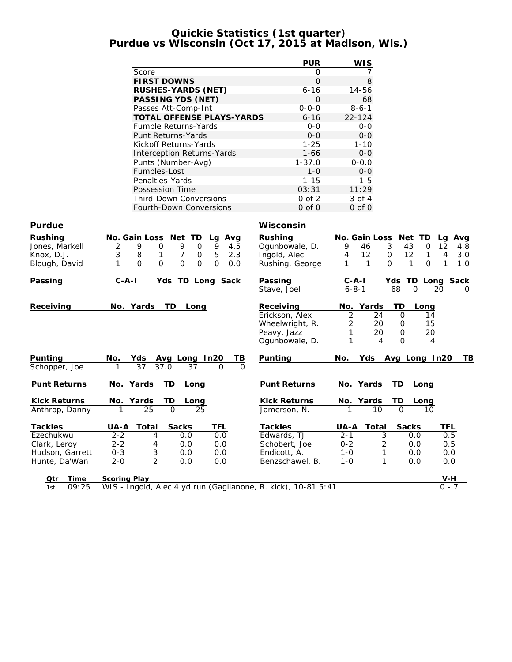### **Quickie Statistics (1st quarter) Purdue vs Wisconsin (Oct 17, 2015 at Madison, Wis.)**

|                 |                                                               | <b>PUR</b>      | <b>WIS</b>                    |                                      |
|-----------------|---------------------------------------------------------------|-----------------|-------------------------------|--------------------------------------|
|                 | Score                                                         | $\mathbf{O}$    | 7                             |                                      |
|                 | <b>FIRST DOWNS</b>                                            | $\overline{O}$  | 8                             |                                      |
|                 | RUSHES-YARDS (NET)                                            | 6-16            | 14-56                         |                                      |
|                 | PASSING YDS (NET)                                             | $\Omega$        | 68                            |                                      |
|                 | Passes Att-Comp-Int                                           | $0 - 0 - 0$     | $8 - 6 - 1$                   |                                      |
|                 | TOTAL OFFENSE PLAYS-YARDS                                     | $6 - 16$        | $22 - 124$                    |                                      |
|                 | Fumble Returns-Yards                                          | $0 - 0$         | $O-O$                         |                                      |
|                 | Punt Returns-Yards                                            | $O - O$         | $O-O$                         |                                      |
|                 | Kickoff Returns-Yards                                         | $1 - 25$        | $1 - 10$                      |                                      |
|                 | Interception Returns-Yards                                    | $1 - 66$        | $0-0$                         |                                      |
|                 | Punts (Number-Avg)                                            | $1 - 37.0$      | $0 - 0.0$                     |                                      |
|                 | Fumbles-Lost                                                  | $1 - 0$         | $O-O$                         |                                      |
|                 | Penalties-Yards                                               | $1 - 15$        | $1 - 5$                       |                                      |
|                 | Possession Time                                               | 03:31           | 11:29                         |                                      |
|                 | <b>Third-Down Conversions</b>                                 | $0$ of $2$      | 3 of 4                        |                                      |
|                 | Fourth-Down Conversions                                       | $0$ of $0$      | $0$ of $0$                    |                                      |
| Purdue          |                                                               | Wisconsin       |                               |                                      |
| Rushing         | No. Gain Loss<br>Net TD<br>Lg Avg                             | Rushing         | No. Gain Loss                 | Net TD<br>Avg<br>Lq                  |
| Jones, Markell  | $\overline{2}$<br>9<br>$\Omega$<br>9<br>9<br>$\Omega$<br>4.5  | Ogunbowale, D.  | 3<br>9<br>46                  | 12<br>43<br>0<br>4.8                 |
| Knox, D.J.      | 5<br>3<br>8<br>1<br>7<br>0<br>2.3                             | Ingold, Alec    | 4<br>12<br>0                  | 12<br>1<br>4<br>3.0                  |
| Blough, David   | $\Omega$<br>$\Omega$<br>$\Omega$<br>0<br>1<br>$\Omega$<br>0.0 | Rushing, George | 1<br>$\mathbf{1}$<br>$\Omega$ | $\Omega$<br>1<br>$\mathbf{1}$<br>1.0 |
|                 |                                                               |                 |                               |                                      |
| Passing         | C-A-I<br>Yds TD Long Sack                                     | Passing         | $C-A-I$                       | Yds TD Long Sack                     |
|                 |                                                               | Stave, Joel     | $6 - 8 - 1$                   | 68<br>$\Omega$<br>20<br>$\Omega$     |
| Receiving       | No. Yards<br>TD.<br>Long                                      | Receiving       | Yards<br>No.                  | TD<br>Long                           |
|                 |                                                               | Erickson, Alex  | $\overline{c}$<br>24          | 0<br>14                              |
|                 |                                                               | Wheelwright, R. | $\overline{2}$<br>20          | 15<br>0                              |
|                 |                                                               | Peavy, Jazz     | 1<br>20                       | 20<br>0                              |
|                 |                                                               | Ogunbowale, D.  | 1<br>4                        | $\Omega$<br>4                        |
| Punting         | No.<br>Yds<br>Avg Long In20<br>TВ                             | Punting         | No.<br>Yds                    | Avg Long In20<br>TB                  |
| Schopper, Joe   | 37<br>37.0<br>37<br>$\Omega$<br>$\Omega$                      |                 |                               |                                      |
|                 |                                                               |                 |                               |                                      |
| Punt Returns    | No. Yards<br>TD<br>Long                                       | Punt Returns    | No. Yards                     | TD<br>Long                           |
| Kick Returns    | Yards<br>TD<br>No.<br>Long                                    | Kick Returns    | No. Yards                     | TD<br>Long                           |
| Anthrop, Danny  | 25<br>$\Omega$<br>25                                          | Jamerson, N.    | 10                            | $\Omega$<br>10                       |
| Tackles         | UA-A<br>TFL<br>Total<br>Sacks                                 | Tackles         | UA-A<br>Total                 | Sacks<br><b>TFL</b>                  |
| Ezechukwu       | $2 - 2$<br>0.0<br>4<br>0.0                                    | Edwards, TJ     | $2 - 1$<br>3                  | 0.5<br>0.0                           |
| Clark, Leroy    | $2 - 2$<br>0.0<br>4<br>0.0                                    | Schobert, Joe   | $0 - 2$<br>2                  | 0.0<br>0.5                           |
| Hudson, Garrett | 3<br>$0 - 3$<br>0.0<br>0.0                                    | Endicott, A.    | $1 - 0$<br>1                  | 0.0<br>0.0                           |
| Hunte, Da'Wan   | $\overline{2}$<br>$2 - 0$<br>0.0<br>0.0                       | Benzschawel, B. | 1<br>$1 - 0$                  | 0.0<br>0.0                           |
| Qtr<br>Time     | Scoring Play                                                  |                 |                               | V-H                                  |
| 09:25<br>1st    | WIS - Ingold, Alec 4 yd run (Gaglianone, R. kick), 10-81 5:41 |                 |                               | 0 - 7                                |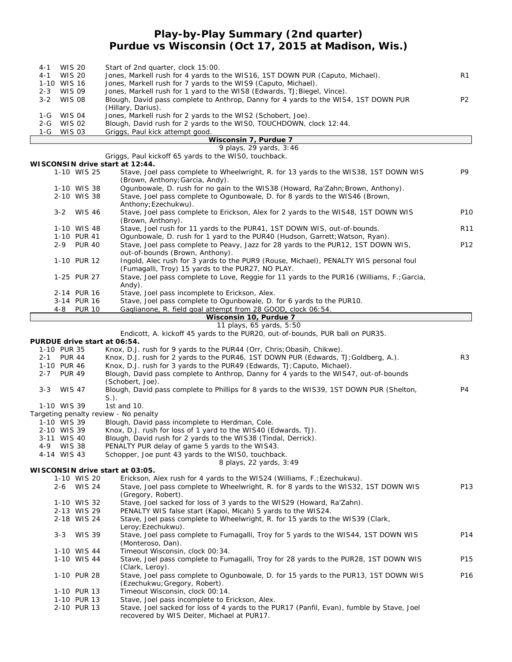# **Play-by-Play Summary (2nd quarter) Purdue vs Wisconsin (Oct 17, 2015 at Madison, Wis.)**

| 4-1     | <b>WIS 20</b>                   | Start of 2nd quarter, clock 15:00.                                                  |                |  |  |  |  |  |  |  |
|---------|---------------------------------|-------------------------------------------------------------------------------------|----------------|--|--|--|--|--|--|--|
| $4 - 1$ | WIS 20                          | Jones, Markell rush for 4 yards to the WIS16, 1ST DOWN PUR (Caputo, Michael).       | R1             |  |  |  |  |  |  |  |
|         | 1-10 WIS 16                     | Jones, Markell rush for 7 yards to the WIS9 (Caputo, Michael).                      |                |  |  |  |  |  |  |  |
| $2 - 3$ | WIS 09                          | Jones, Markell rush for 1 yard to the WIS8 (Edwards, TJ; Biegel, Vince).            |                |  |  |  |  |  |  |  |
|         | 3-2 WIS 08                      | Blough, David pass complete to Anthrop, Danny for 4 yards to the WIS4, 1ST DOWN PUR | P <sub>2</sub> |  |  |  |  |  |  |  |
|         |                                 | (Hillary, Darius).                                                                  |                |  |  |  |  |  |  |  |
| 1-G     | <b>WIS 04</b>                   | Jones, Markell rush for 2 yards to the WIS2 (Schobert, Joe).                        |                |  |  |  |  |  |  |  |
| $2 - G$ | WIS 02                          | Blough, David rush for 2 yards to the WISO, TOUCHDOWN, clock 12:44.                 |                |  |  |  |  |  |  |  |
|         | 1-G WIS 03                      | Griggs, Paul kick attempt good.                                                     |                |  |  |  |  |  |  |  |
|         |                                 | Wisconsin 7, Purdue 7                                                               |                |  |  |  |  |  |  |  |
|         |                                 | 9 plays, 29 yards, 3:46                                                             |                |  |  |  |  |  |  |  |
|         |                                 | Griggs, Paul kickoff 65 yards to the WISO, touchback.                               |                |  |  |  |  |  |  |  |
|         | WISCONSIN drive start at 12:44. |                                                                                     |                |  |  |  |  |  |  |  |
|         |                                 |                                                                                     |                |  |  |  |  |  |  |  |

|     | WESCONSIN ULIVE STALL AT TZ.44. |                                                                                                                         |                 |
|-----|---------------------------------|-------------------------------------------------------------------------------------------------------------------------|-----------------|
|     | 1-10 WIS 25                     | Stave, Joel pass complete to Wheelwright, R. for 13 yards to the WIS38, 1ST DOWN WIS<br>(Brown, Anthony; Garcia, Andy). | P9              |
|     | 1-10 WIS 38                     | Ogunbowale, D. rush for no gain to the WIS38 (Howard, Ra'Zahn; Brown, Anthony).                                         |                 |
|     | 2-10 WIS 38                     | Stave, Joel pass complete to Ogunbowale, D. for 8 yards to the WIS46 (Brown,                                            |                 |
|     |                                 | Anthony; Ezechukwu).                                                                                                    |                 |
|     | 3-2 WIS 46                      | Stave, Joel pass complete to Erickson, Alex for 2 yards to the WIS48, 1ST DOWN WIS                                      | P <sub>10</sub> |
|     |                                 | (Brown, Anthony).                                                                                                       |                 |
|     | 1-10 WIS 48                     | Stave, Joel rush for 11 yards to the PUR41, 1ST DOWN WIS, out-of-bounds.                                                | R <sub>11</sub> |
|     | 1-10 PUR 41                     | Ogunbowale, D. rush for 1 yard to the PUR40 (Hudson, Garrett; Watson, Ryan).                                            |                 |
|     | 2-9 PUR 40                      | Stave, Joel pass complete to Peavy, Jazz for 28 yards to the PUR12, 1ST DOWN WIS,                                       | P <sub>12</sub> |
|     |                                 | out-of-bounds (Brown, Anthony).                                                                                         |                 |
|     | 1-10 PUR 12                     | Ingold, Alec rush for 3 yards to the PUR9 (Rouse, Michael), PENALTY WIS personal foul                                   |                 |
|     |                                 | (Fumagalli, Troy) 15 yards to the PUR27, NO PLAY.                                                                       |                 |
|     | 1-25 PUR 27                     | Stave, Joel pass complete to Love, Reggie for 11 yards to the PUR16 (Williams, F.; Garcia,                              |                 |
|     |                                 | $Andy)$ .                                                                                                               |                 |
|     | 2-14 PUR 16                     | Stave, Joel pass incomplete to Erickson, Alex.                                                                          |                 |
|     | 3-14 PUR 16                     | Stave, Joel pass complete to Ogunbowale, D. for 6 yards to the PUR10.                                                   |                 |
| 4-8 | <b>PUR 10</b>                   | Gaglianone, R. field goal attempt from 28 GOOD, clock 06:54.                                                            |                 |
|     |                                 | $Micconcin 10$ Durduo $7$                                                                                               |                 |

#### **Wisconsin 10, Purdue 7** *11 plays, 65 yards, 5:50*

| <i>TI piays, uu yarus, u.uu</i>                                               |  |  |  |  |  |  |  |  |  |
|-------------------------------------------------------------------------------|--|--|--|--|--|--|--|--|--|
| Endicott, A. kickoff 45 yards to the PUR20, out-of-bounds, PUR ball on PUR35. |  |  |  |  |  |  |  |  |  |
| $c+$ ort ot $\bigcap$ $\mathcal{L} \cdot \mathbb{E}$ A                        |  |  |  |  |  |  |  |  |  |

**PURDUE drive start at 06:54.** 1-10 PUR 35 Knox, D.J. rush for 9 yards to the PUR44 (Orr, Chris; Obasih, Chikwe).

| $2 - 1$ | <b>PUR 44</b> | Knox, D.J. rush for 2 yards to the PUR46, 1ST DOWN PUR (Edwards, TJ; Goldberg, A.).      | R <sub>3</sub> |
|---------|---------------|------------------------------------------------------------------------------------------|----------------|
|         | 1-10 PUR 46   | Knox, D.J. rush for 3 yards to the PUR49 (Edwards, TJ; Caputo, Michael).                 |                |
| $2 - 7$ | <b>PUR 49</b> | Blough, David pass complete to Anthrop, Danny for 4 yards to the WIS47, out-of-bounds    |                |
|         |               | (Schobert, Joe).                                                                         |                |
| $3 - 3$ | WIS 47        | Blough, David pass complete to Phillips for 8 yards to the WIS39, 1ST DOWN PUR (Shelton, | P4             |
|         |               | $S.$ ).                                                                                  |                |
|         | 1-10 WIS 39   | 1st and 10.                                                                              |                |
|         |               | Targeting penalty review - No penalty                                                    |                |
|         | 1-10 WIS 39   | Blough, David pass incomplete to Herdman, Cole.                                          |                |
|         | 2-10 WIS 39   | Knox, D.J. rush for loss of 1 yard to the WIS40 (Edwards, TJ).                           |                |
|         | 3-11 WIS 40   | Blough, David rush for 2 yards to the WIS38 (Tindal, Derrick).                           |                |
|         | 4-9 WIS 38    | PENALTY PUR delay of game 5 yards to the WIS43.                                          |                |
|         | 4-14 WIS 43   | Schopper, Joe punt 43 yards to the WISO, touchback.                                      |                |
|         |               | 8 plays, 22 yards, 3:49                                                                  |                |
|         |               | WISCONSIN drive start at 03:05.                                                          |                |
|         |               | F ' I AI ICA II UNUOO IAMIN' FFIII                                                       |                |

1-10 WIS 20 Erickson, Alex rush for 4 yards to the WIS24 (Williams, F.; Ezechukwu).<br>2-6 WIS 24 Stave, Joel pass complete to Wheelwright, R. for 8 yards to the WIS32, Stave, Joel pass complete to Wheelwright, R. for 8 yards to the WIS32, 1ST DOWN WIS P13 (Gregory, Robert). 1-10 WIS 32 Stave, Joel sacked for loss of 3 yards to the WIS29 (Howard, Ra'Zahn).<br>2-13 WIS 29 PENALTY WIS false start (Kapoi, Micah) 5 yards to the WIS24. 2-13 WIS 29 PENALTY WIS false start (Kapoi, Micah) 5 yards to the WIS24.<br>2-18 WIS 24 Stave, Joel pass complete to Wheelwright, R. for 15 yards to t Stave, Joel pass complete to Wheelwright, R. for 15 yards to the WIS39 (Clark, Leroy;Ezechukwu). 3-3 WIS 39 Stave, Joel pass complete to Fumagalli, Troy for 5 yards to the WIS44, 1ST DOWN WIS P14 (Monteroso, Dan). 1-10 WIS 44 Timeout Wisconsin, clock 00:34. 1-10 WIS 44 Stave, Joel pass complete to Fumagalli, Troy for 28 yards to the PUR28, 1ST DOWN WIS P15 (Clark, Leroy). 1-10 PUR 28 Stave, Joel pass complete to Ogunbowale, D. for 15 yards to the PUR13, 1ST DOWN WIS P16 (Ezechukwu;Gregory, Robert). 1-10 PUR 13 Timeout Wisconsin, clock 00:14.<br>1-10 PUR 13 Stave, Joel pass incomplete to E 1-10 PUR 13 Stave, Joel pass incomplete to Erickson, Alex.<br>2-10 PUR 13 Stave, Joel sacked for loss of 4 yards to the P Stave, Joel sacked for loss of 4 yards to the PUR17 (Panfil, Evan), fumble by Stave, Joel

recovered by WIS Deiter, Michael at PUR17.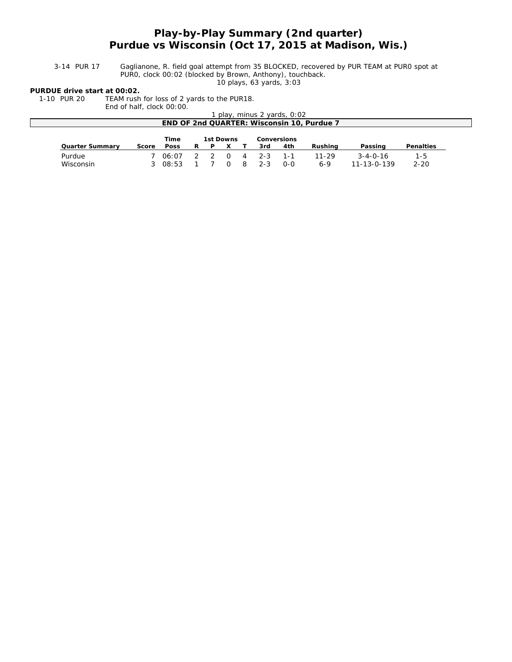# **Play-by-Play Summary (2nd quarter) Purdue vs Wisconsin (Oct 17, 2015 at Madison, Wis.)**

3-14 PUR 17 Gaglianone, R. field goal attempt from 35 BLOCKED, recovered by PUR TEAM at PUR0 spot at PUR0, clock 00:02 (blocked by Brown, Anthony), touchback.

*10 plays, 63 yards, 3:03*

**PURDUE drive start at 00:02.**

1-10 PUR 20 TEAM rush for loss of 2 yards to the PUR18. End of half, clock 00:00.

|                                            | ENG OF NAIT, CIOCK UU: UU. |       |  |   |           |                |         |                             |           |                     |           |  |
|--------------------------------------------|----------------------------|-------|--|---|-----------|----------------|---------|-----------------------------|-----------|---------------------|-----------|--|
|                                            |                            |       |  |   |           |                |         | 1 play, minus 2 yards, 0:02 |           |                     |           |  |
| END OF 2nd QUARTER: Wisconsin 10, Purdue 7 |                            |       |  |   |           |                |         |                             |           |                     |           |  |
|                                            |                            |       |  |   |           |                |         |                             |           |                     |           |  |
|                                            |                            | Time  |  |   | 1st Downs |                |         | Conversions                 |           |                     |           |  |
| Quarter Summary                            | Score                      | Poss  |  | P |           |                | 3rd     | 4th                         | Rushing   | Passing             | Penalties |  |
| Purdue                                     |                            | 06:07 |  |   |           | $\overline{4}$ | $2 - 3$ | 1-1                         | $11 - 29$ | $3 - 4 - 0 - 16$    | $1 - 5$   |  |
| Wisconsin                                  |                            | 08:53 |  |   |           |                | $2 - 3$ | $O-O$                       | $6 - 9$   | $11 - 13 - 0 - 139$ | $2 - 20$  |  |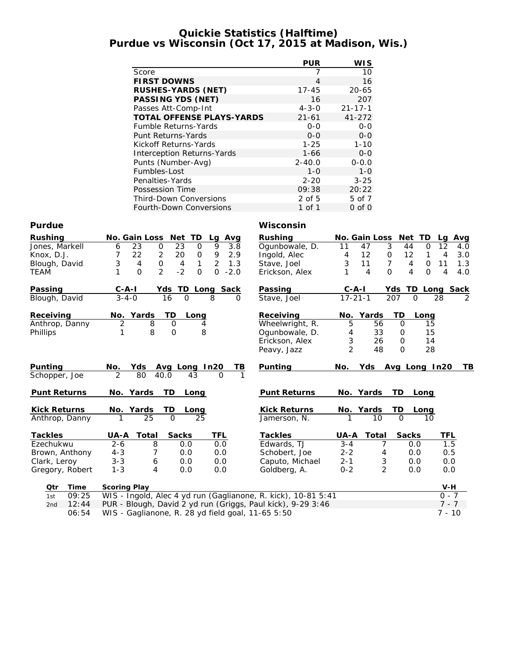### **Quickie Statistics (Halftime) Purdue vs Wisconsin (Oct 17, 2015 at Madison, Wis.)**

|                                  | <b>PUR</b>   | WI S          |
|----------------------------------|--------------|---------------|
| Score                            | 7            | 10            |
| <b>FIRST DOWNS</b>               | 4            | 16            |
| RUSHES-YARDS (NET)               | $17 - 45$    | $20 - 65$     |
| PASSING YDS (NET)                | 16           | 207           |
| Passes Att-Comp-Int              | $4 - 3 - 0$  | $21 - 17 - 1$ |
| <b>TOTAL OFFENSE PLAYS-YARDS</b> | $21 - 61$    | $41 - 272$    |
| <b>Fumble Returns-Yards</b>      | $0 - 0$      | $0 - 0$       |
| Punt Returns-Yards               | $O-O$        | $0 - 0$       |
| Kickoff Returns-Yards            | $1 - 25$     | $1 - 10$      |
| Interception Returns-Yards       | $1 - 66$     | $0 - 0$       |
| Punts (Number-Avg)               | $2 - 40.0$   | $0 - 0.0$     |
| Fumbles-Lost                     | $1 - \Omega$ | $1 - 0$       |
| Penalties-Yards                  | $2 - 20$     | $3 - 25$      |
| Possession Time                  | 09:38        | 20:22         |
| <b>Third-Down Conversions</b>    | $2$ of 5     | 5 of 7        |
| Fourth-Down Conversions          | 1 of 1       | $0$ of $0$    |

#### **Purdue Wisconsin**

| Rushing<br>Jones, Markell<br>Knox, D.J.<br>Blough, David<br>TEAM          | Net TD<br>No. Gain Loss<br>Lg Avg<br>9<br>23<br>3.8<br>23<br>0<br>$\mathbf 0$<br>6<br>7<br>22<br>$\overline{2}$<br>20<br>9<br>2.9<br>0<br>3<br>$\overline{2}$<br>$\mathbf 0$<br>$\mathbf{1}$<br>$\overline{4}$<br>1.3<br>$\overline{4}$<br>$\overline{2}$<br>$-2$<br>$\overline{O}$<br>0<br>$-2.0$<br>$\mathsf{O}$ | Rushing<br>Ogunbowale, D.<br>Ingold, Alec<br>Stave, Joel<br>Erickson, Alex      | No. Gain Loss<br>Net TD<br>3<br>47<br>44<br>$\Omega$<br>11<br>12<br>$\mathsf O$<br>12<br>4<br>1<br>3<br>$\overline{7}$<br>11<br>$\mathsf{O}$<br>4<br>$\Omega$<br>4<br>$\Omega$<br>$\overline{4}$ | Avg<br>La<br>12<br>4.0<br>4<br>3.0<br>11<br>1.3<br>4<br>4.0 |
|---------------------------------------------------------------------------|--------------------------------------------------------------------------------------------------------------------------------------------------------------------------------------------------------------------------------------------------------------------------------------------------------------------|---------------------------------------------------------------------------------|--------------------------------------------------------------------------------------------------------------------------------------------------------------------------------------------------|-------------------------------------------------------------|
| Passing<br>Blough, David                                                  | $C - A - I$<br>TD.<br>Yds<br>Long Sack<br>$3 - 4 - 0$<br>$\Omega$<br>16<br>8<br>0                                                                                                                                                                                                                                  | Passing<br>Stave, Joel                                                          | $C - A - I$<br>TD<br>Yds<br>$17 - 21 - 1$<br>207<br>$\Omega$                                                                                                                                     | Long Sack<br>28<br>2                                        |
| Receiving<br>Anthrop, Danny<br>Phillips                                   | TD<br>Yards<br>No.<br>Long<br>$\overline{2}$<br>8<br>$\mathbf{O}$<br>4<br>8<br>8<br>1<br>$\mathbf{O}$                                                                                                                                                                                                              | Receiving<br>Wheelwright, R.<br>Ogunbowale, D.<br>Erickson, Alex<br>Peavy, Jazz | Yards<br>TD<br>No.<br>Long<br>5<br>56<br>$\Omega$<br>33<br>4<br>0<br>3<br>26<br>$\Omega$<br>$\overline{2}$<br>48<br>$\Omega$                                                                     | 15<br>15<br>14<br>28                                        |
| Punting<br>Schopper, Joe                                                  | No.<br>Yds<br>Ava Long<br>In20<br>TΒ<br>$\mathfrak{D}$<br>80<br>43<br>$\Omega$<br>40.0                                                                                                                                                                                                                             | Punting                                                                         | Yds<br>Avg Long In20<br>No.                                                                                                                                                                      | TВ                                                          |
| Punt Returns                                                              | No. Yards<br><b>TD</b><br>Long                                                                                                                                                                                                                                                                                     | Punt Returns                                                                    | No. Yards<br>TD<br>Long                                                                                                                                                                          |                                                             |
| Kick Returns<br>Anthrop, Danny                                            | No. Yards<br>TD<br>Long<br>$\overline{0}$<br>25<br>25<br>$\mathbf{1}$                                                                                                                                                                                                                                              | Kick Returns<br>Jamerson, N.                                                    | No. Yards<br>TD<br>Long<br>$\Omega$<br>10<br>10                                                                                                                                                  |                                                             |
| Tackles<br>Ezechukwu<br>Brown, Anthony<br>Clark, Leroy<br>Gregory, Robert | Sacks<br>Total<br>TFL<br>UA-A<br>8<br>$2 - 6$<br>0.0<br>0.0<br>$4 - 3$<br>7<br>0.0<br>0.0<br>$3 - 3$<br>0.0<br>6<br>0.0<br>4<br>$1 - 3$<br>0.0<br>0.0                                                                                                                                                              | Tackles<br>Edwards, TJ<br>Schobert, Joe<br>Caputo, Michael<br>Goldberg, A.      | Sacks<br>Total<br>UA-A<br>$3 - 4$<br>0.0<br>7<br>$2 - 2$<br>0.0<br>4<br>3<br>$2 - 1$<br>0.0<br>$\overline{2}$<br>$0 - 2$<br>0.0                                                                  | TFL<br>1.5<br>0.5<br>0.0<br>0.0                             |
| Time<br>Qtr<br>09:25<br>1st<br>12:44<br>2nd                               | <b>Scoring Play</b><br>WIS - Ingold, Alec 4 yd run (Gaglianone, R. kick), 10-81 5:41<br>PUR - Blough, David 2 yd run (Griggs, Paul kick), 9-29 3:46                                                                                                                                                                |                                                                                 |                                                                                                                                                                                                  | $V-H$<br>$0 - 7$<br>$7 - 7$                                 |

06:54 WIS - Gaglianone, R. 28 yd field goal, 11-65 5:50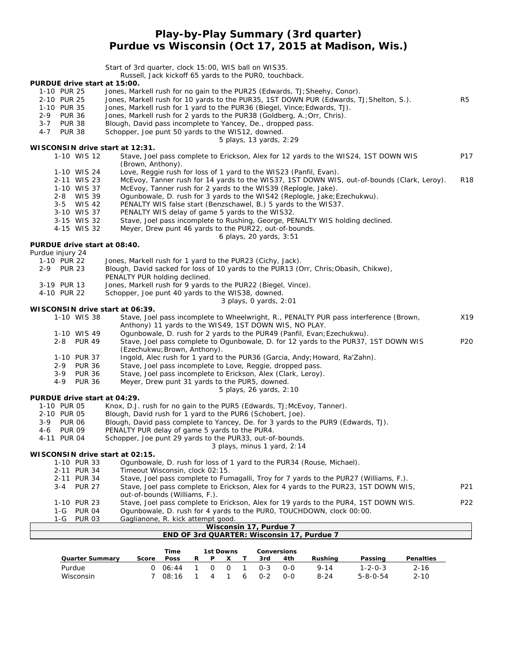### **Play-by-Play Summary (3rd quarter) Purdue vs Wisconsin (Oct 17, 2015 at Madison, Wis.)**

Start of 3rd quarter, clock 15:00, WIS ball on WIS35. Russell, Jack kickoff 65 yards to the PUR0, touchback. **PURDUE drive start at 15:00.** 1-10 PUR 25 Jones, Markell rush for no gain to the PUR25 (Edwards, TJ;Sheehy, Conor). 2-10 PUR 25 Jones, Markell rush for 10 yards to the PUR35, 1ST DOWN PUR (Edwards, TJ;Shelton, S.). R5 1-10 PUR 35 Jones, Markell rush for 1 yard to the PUR36 (Biegel, Vince;Edwards, TJ). 2-9 PUR 36 Jones, Markell rush for 2 yards to the PUR38 (Goldberg, A.;Orr, Chris). 3-7 PUR 38 Blough, David pass incomplete to Yancey, De., dropped pass. 4-7 PUR 38 Schopper, Joe punt 50 yards to the WIS12, downed. *5 plays, 13 yards, 2:29* **WISCONSIN drive start at 12:31.** 1-10 WIS 12 Stave, Joel pass complete to Erickson, Alex for 12 yards to the WIS24, 1ST DOWN WIS P17 (Brown, Anthony). 1-10 WIS 24 Love, Reggie rush for loss of 1 yard to the WIS23 (Panfil, Evan)<br>2-11 WIS 23 McEvoy, Tanner rush for 14 yards to the WIS37, 1ST DOWN WI: 2-11 WIS 23 McEvoy, Tanner rush for 14 yards to the WIS37, 1ST DOWN WIS, out-of-bounds (Clark, Leroy). R18<br>1-10 WIS 37 McEvov. Tanner rush for 2 vards to the WIS39 (Replogle. Jake). 1-10 WIS 37 McEvoy, Tanner rush for 2 yards to the WIS39 (Replogle, Jake).<br>2-8 WIS 39 Ogunbowale, D. rush for 3 yards to the WIS42 (Replogle, Jake; E Ogunbowale, D. rush for 3 yards to the WIS42 (Replogle, Jake; Ezechukwu). 3-5 WIS 42 PENALTY WIS false start (Benzschawel, B.) 5 yards to the WIS37. 3-10 WIS 37 PENALTY WIS delay of game 5 yards to the WIS32. 3-15 WIS 32 Stave, Joel pass incomplete to Rushing, George, PENALTY WIS holding declined. 4-15 WIS 32 Meyer, Drew punt 46 yards to the PUR22, out-of-bounds. *6 plays, 20 yards, 3:51* **PURDUE drive start at 08:40.** *Purdue injury 24* 1-10 PUR 22 Jones, Markell rush for 1 yard to the PUR23 (Cichy, Jack). 2-9 PUR 23 Blough, David sacked for loss of 10 yards to the PUR13 (Orr, Chris;Obasih, Chikwe), PENALTY PUR holding declined. 3-19 PUR 13 Jones, Markell rush for 9 yards to the PUR22 (Biegel, Vince). 4-10 PUR 22 Schopper, Joe punt 40 yards to the WIS38, downed. *3 plays, 0 yards, 2:01* **WISCONSIN drive start at 06:39.** 1-10 WIS 38 Stave, Joel pass incomplete to Wheelwright, R., PENALTY PUR pass interference (Brown, X19 Anthony) 11 yards to the WIS49, 1ST DOWN WIS, NO PLAY. 1-10 WIS 49 Ogunbowale, D. rush for 2 yards to the PUR49 (Panfil, Evan;Ezechukwu). 2-8 PUR 49 Stave, Joel pass complete to Ogunbowale, D. for 12 yards to the PUR37, 1ST DOWN WIS P20 (Ezechukwu;Brown, Anthony). 1-10 PUR 37 Ingold, Alec rush for 1 yard to the PUR36 (Garcia, Andy;Howard, Ra'Zahn). 2-9 PUR 36 Stave, Joel pass incomplete to Love, Reggie, dropped pass.<br>2-9 PUR 36 Stave, Joel pass incomplete to Erickson, Alex (Clark, Lerov) Stave, Joel pass incomplete to Erickson, Alex (Clark, Leroy). 4-9 PUR 36 Meyer, Drew punt 31 yards to the PUR5, downed. *5 plays, 26 yards, 2:10* **PURDUE drive start at 04:29.** 1-10 PUR 05 Knox, D.J. rush for no gain to the PUR5 (Edwards, TJ;McEvoy, Tanner). 2-10 PUR 05 Blough, David rush for 1 yard to the PUR6 (Schobert, Joe)<br>3-9 PUR 06 Blough, David pass complete to Yancey, De. for 3 yards to Blough, David pass complete to Yancey, De. for 3 yards to the PUR9 (Edwards, TJ). 4-6 PUR 09 PENALTY PUR delay of game 5 yards to the PUR4. 4-11 PUR 04 Schopper, Joe punt 29 yards to the PUR33, out-of-bounds. *3 plays, minus 1 yard, 2:14* **WISCONSIN drive start at 02:15.** 1-10 PUR 33 Ogunbowale, D. rush for loss of 1 yard to the PUR34 (Rouse, Michael). 2-11 PUR 34 Timeout Wisconsin, clock 02:15. 2-11 PUR 34 Stave, Joel pass complete to Fumagalli, Troy for 7 yards to the PUR27 (Williams, F.). 3-4 PUR 27 Stave, Joel pass complete to Erickson, Alex for 4 yards to the PUR23, 1ST DOWN WIS, P21 out-of-bounds (Williams, F.). 1-10 PUR 23 Stave, Joel pass complete to Erickson, Alex for 19 yards to the PUR4, 1ST DOWN WIS. P22 1-G PUR 04 Ogunbowale, D. rush for 4 yards to the PUR0, TOUCHDOWN, clock 00:00. 1-G PUR 03 Gaglianone, R. kick attempt good. **Wisconsin 17, Purdue 7 END OF 3rd QUARTER: Wisconsin 17, Purdue 7**

|                 |       | Time  |   |   | 1st Downs | Conversions |     |          |                  |           |
|-----------------|-------|-------|---|---|-----------|-------------|-----|----------|------------------|-----------|
| Quarter Summary | Score | Poss  | ₽ | P |           | 3rd         | 4th | Rushina  | Passing          | Penalties |
| Purdue          |       | 06.44 |   | ∩ | $\Omega$  | $0 - 3$     | 0-0 | $9 - 14$ | $1 - 2 - 0 - 3$  | $2 - 16$  |
| Wisconsin       |       | 08:16 |   | 4 |           | $0 - 2$     | ი-ი | $8 - 24$ | $5 - 8 - 0 - 54$ | $2 - 10$  |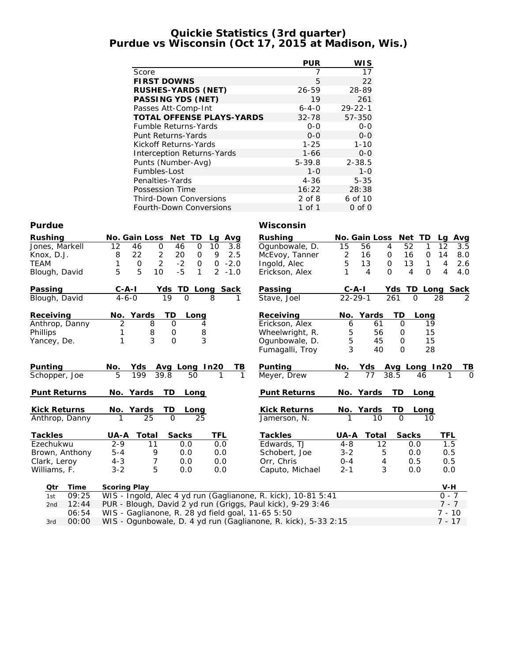### **Quickie Statistics (3rd quarter) Purdue vs Wisconsin (Oct 17, 2015 at Madison, Wis.)**

|                                  | <b>PUR</b>  | <b>WIS</b>    |
|----------------------------------|-------------|---------------|
| Score                            | 7           | 17            |
| <b>FIRST DOWNS</b>               | 5           | 22            |
| RUSHES-YARDS (NET)               | 26-59       | 28-89         |
| PASSING YDS (NET)                | 19          | 261           |
| Passes Att-Comp-Int              | $6 - 4 - 0$ | $29 - 22 - 1$ |
| <b>TOTAL OFFENSE PLAYS-YARDS</b> | $32 - 78$   | 57-350        |
| <b>Fumble Returns-Yards</b>      | $0 - 0$     | $0 - 0$       |
| Punt Returns-Yards               | $0 - 0$     | $0 - 0$       |
| Kickoff Returns-Yards            | $1 - 25$    | $1 - 10$      |
| Interception Returns-Yards       | 1-66        | $0 - 0$       |
| Punts (Number-Avg)               | $5 - 39.8$  | $2 - 38.5$    |
| Fumbles-Lost                     | $1 - 0$     | $1 - 0$       |
| Penalties-Yards                  | $4 - 36$    | $5 - 35$      |
| Possession Time                  | 16:22       | 28:38         |
| <b>Third-Down Conversions</b>    | $2$ of $8$  | 6 of 10       |
| <b>Fourth-Down Conversions</b>   | 1 of 1      | $0$ of $0$    |

#### **Purdue Wisconsin**

| Rushing<br>Jones, Markell<br>Knox, D.J.<br><b>TEAM</b><br>Blough, David | No. Gain Loss<br>Net TD<br>Avg<br>Lq<br>10<br>12<br>46<br>$\mathbf 0$<br>46<br>$\mathsf{O}$<br>3.8<br>22<br>$\overline{c}$<br>9<br>2.5<br>8<br>20<br>0<br>$\overline{2}$<br>$-2$<br>$\mathsf{O}$<br>$-2.0$<br>0<br>$\circ$<br>5<br>5<br>$-5$<br>10<br>$\mathcal{P}$<br>1<br>$-1.0$ | Rushing<br>Ogunbowale, D.<br>McEvoy, Tanner<br>Ingold, Alec<br>Erickson, Alex       | No. Gain Loss<br>15<br>56<br>$\overline{c}$<br>16<br>5<br>13<br>$\overline{4}$ | Net<br>TD<br>52<br>4<br>1<br>16<br>0<br>$\mathbf{O}$<br>$\mathsf{O}$<br>13<br>1<br>$\Omega$<br>$\Omega$<br>4 | Avg<br>La<br>12<br>3.5<br>14<br>8.0<br>2.6<br>4<br>4<br>4.0 |
|-------------------------------------------------------------------------|------------------------------------------------------------------------------------------------------------------------------------------------------------------------------------------------------------------------------------------------------------------------------------|-------------------------------------------------------------------------------------|--------------------------------------------------------------------------------|--------------------------------------------------------------------------------------------------------------|-------------------------------------------------------------|
| Passing                                                                 | <b>TD</b><br>$C - A - I$<br>Yds<br>Long Sack                                                                                                                                                                                                                                       | Passing                                                                             | $C-A-I$                                                                        | Yds                                                                                                          | TD Long Sack                                                |
| Blough, David                                                           | 19<br>$\Omega$<br>8<br>$4 - 6 - 0$                                                                                                                                                                                                                                                 | Stave, Joel                                                                         | $22 - 29 - 1$                                                                  | 261<br>$\Omega$                                                                                              | 28<br>2                                                     |
| Receiving<br>Anthrop, Danny<br>Phillips<br>Yancey, De.                  | <b>TD</b><br>Yards<br>No.<br>Long<br>$\overline{2}$<br>8<br>$\overline{O}$<br>4<br>$\frac{8}{3}$<br>8<br>1<br>$\mathsf{O}\xspace$<br>3<br>$\overline{O}$<br>1                                                                                                                      | Receiving<br>Erickson, Alex<br>Wheelwright, R.<br>Ogunbowale, D.<br>Fumagalli, Troy | Yards<br>No.<br>61<br>6<br>5<br>56<br>5<br>45<br>3<br>40                       | TD<br>Long<br>$\mathbf 0$<br>0<br>0<br>$\Omega$                                                              | 19<br>15<br>15<br>28                                        |
| Punting                                                                 | Yds<br>Avg Long In20<br>No.<br>ΤВ                                                                                                                                                                                                                                                  | Punting                                                                             | No.<br>Yds                                                                     | Avg Long In20                                                                                                | TВ                                                          |
| Schopper, Joe                                                           | 5<br>199<br>39.8<br>50<br>1<br>1                                                                                                                                                                                                                                                   | Meyer, Drew                                                                         | 2<br>77                                                                        | 38.5<br>46                                                                                                   | $\Omega$                                                    |
| Punt Returns                                                            | TD<br>No. Yards<br>Long                                                                                                                                                                                                                                                            | Punt Returns                                                                        | No. Yards                                                                      | TD<br>Long                                                                                                   |                                                             |
| <b>Kick Returns</b>                                                     | No. Yards<br>TD<br>Long                                                                                                                                                                                                                                                            | <b>Kick Returns</b>                                                                 | No. Yards                                                                      | TD<br>Long                                                                                                   |                                                             |
| Anthrop, Danny                                                          | 25<br>$\Omega$<br>25                                                                                                                                                                                                                                                               | Jamerson, N.                                                                        | 10                                                                             | $\Omega$<br>10                                                                                               |                                                             |
| Tackles                                                                 | TFL<br>Total<br>Sacks<br>UA-A                                                                                                                                                                                                                                                      | Tackles                                                                             | Total<br>UA-A                                                                  | Sacks                                                                                                        | TFL                                                         |
| Ezechukwu                                                               | $2 - 9$<br>0.0<br>11<br>0.0                                                                                                                                                                                                                                                        | Edwards, TJ                                                                         | $4 - 8$                                                                        | $12 \,$<br>0.0                                                                                               | 1.5                                                         |
| Brown, Anthony                                                          | $5 - 4$<br>9<br>0.0<br>0.0                                                                                                                                                                                                                                                         | Schobert, Joe                                                                       | $3 - 2$                                                                        | 5<br>0.0                                                                                                     | 0.5                                                         |
| Clark, Leroy                                                            | $\boldsymbol{7}$<br>$4 - 3$<br>0.0<br>0.0                                                                                                                                                                                                                                          | Orr, Chris                                                                          | $0 - 4$                                                                        | 0.5<br>4                                                                                                     | 0.5                                                         |
| Williams, F.                                                            | 5<br>$3 - 2$<br>0.0<br>0.0                                                                                                                                                                                                                                                         | Caputo, Michael                                                                     | $2 - 1$                                                                        | 3<br>0.0                                                                                                     | 0.0                                                         |
| Time<br>Qtr                                                             | Scoring Play                                                                                                                                                                                                                                                                       |                                                                                     |                                                                                |                                                                                                              | $V-H$                                                       |
| 09:25<br>1st                                                            | WIS - Ingold, Alec 4 yd run (Gaglianone, R. kick), 10-81 5:41                                                                                                                                                                                                                      |                                                                                     |                                                                                |                                                                                                              | $0 - 7$                                                     |
| 12:44<br>2nd                                                            | PUR - Blough, David 2 yd run (Griggs, Paul kick), 9-29 3:46                                                                                                                                                                                                                        |                                                                                     |                                                                                |                                                                                                              | $7 - 7$                                                     |
| 06:54                                                                   | WIS - Gaglianone, R. 28 yd field goal, 11-65 5:50                                                                                                                                                                                                                                  |                                                                                     |                                                                                |                                                                                                              | 7 - 10                                                      |

3rd 00:00 WIS - Ogunbowale, D. 4 yd run (Gaglianone, R. kick), 5-33 2:15 7 - 17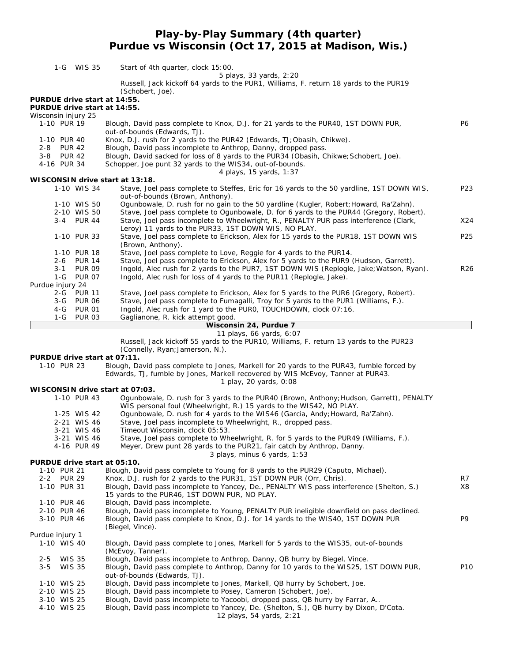# **Play-by-Play Summary (4th quarter) Purdue vs Wisconsin (Oct 17, 2015 at Madison, Wis.)**

| 1-G WIS 35                         |               | Start of 4th quarter, clock 15:00.                                                                                                                              |                 |
|------------------------------------|---------------|-----------------------------------------------------------------------------------------------------------------------------------------------------------------|-----------------|
|                                    |               | 5 plays, 33 yards, 2:20                                                                                                                                         |                 |
|                                    |               | Russell, Jack kickoff 64 yards to the PUR1, Williams, F. return 18 yards to the PUR19                                                                           |                 |
|                                    |               | (Schobert, Joe).                                                                                                                                                |                 |
| PURDUE drive start at 14:55.       |               |                                                                                                                                                                 |                 |
| PURDUE drive start at 14:55.       |               |                                                                                                                                                                 |                 |
| Wisconsin injury 25<br>1-10 PUR 19 |               | Blough, David pass complete to Knox, D.J. for 21 yards to the PUR40, 1ST DOWN PUR,                                                                              | P6              |
|                                    |               | out-of-bounds (Edwards, TJ).                                                                                                                                    |                 |
| 1-10 PUR 40                        |               | Knox, D.J. rush for 2 yards to the PUR42 (Edwards, TJ; Obasih, Chikwe).                                                                                         |                 |
| 2-8 PUR 42                         |               | Blough, David pass incomplete to Anthrop, Danny, dropped pass.                                                                                                  |                 |
| 3-8 PUR 42                         |               | Blough, David sacked for loss of 8 yards to the PUR34 (Obasih, Chikwe; Schobert, Joe).                                                                          |                 |
| 4-16 PUR 34                        |               | Schopper, Joe punt 32 yards to the WIS34, out-of-bounds.                                                                                                        |                 |
|                                    |               | 4 plays, 15 yards, 1:37                                                                                                                                         |                 |
|                                    |               | WISCONSIN drive start at 13:18.                                                                                                                                 |                 |
| 1-10 WIS 34                        |               | Stave, Joel pass complete to Steffes, Eric for 16 yards to the 50 yardline, 1ST DOWN WIS,                                                                       | P23             |
|                                    |               | out-of-bounds (Brown, Anthony).                                                                                                                                 |                 |
| 1-10 WIS 50                        |               | Ogunbowale, D. rush for no gain to the 50 yardline (Kugler, Robert; Howard, Ra'Zahn).                                                                           |                 |
| 2-10 WIS 50                        |               | Stave, Joel pass complete to Ogunbowale, D. for 6 yards to the PUR44 (Gregory, Robert).                                                                         |                 |
| 3-4 PUR 44                         |               | Stave, Joel pass incomplete to Wheelwright, R., PENALTY PUR pass interference (Clark,                                                                           | X24             |
|                                    |               | Leroy) 11 yards to the PUR33, 1ST DOWN WIS, NO PLAY.                                                                                                            |                 |
| 1-10 PUR 33                        |               | Stave, Joel pass complete to Erickson, Alex for 15 yards to the PUR18, 1ST DOWN WIS                                                                             | P25             |
|                                    |               | (Brown, Anthony).                                                                                                                                               |                 |
| 1-10 PUR 18                        |               | Stave, Joel pass complete to Love, Reggie for 4 yards to the PUR14.                                                                                             |                 |
| 2-6 PUR 14                         |               | Stave, Joel pass complete to Erickson, Alex for 5 yards to the PUR9 (Hudson, Garrett).                                                                          |                 |
| $3 - 1$<br>1-G PUR 07              | <b>PUR 09</b> | Ingold, Alec rush for 2 yards to the PUR7, 1ST DOWN WIS (Replogle, Jake; Watson, Ryan).<br>Ingold, Alec rush for loss of 4 yards to the PUR11 (Replogle, Jake). | R <sub>26</sub> |
| Purdue injury 24                   |               |                                                                                                                                                                 |                 |
| 2-G PUR 11                         |               | Stave, Joel pass complete to Erickson, Alex for 5 yards to the PUR6 (Gregory, Robert).                                                                          |                 |
| 3-G PUR 06                         |               | Stave, Joel pass complete to Fumagalli, Troy for 5 yards to the PUR1 (Williams, F.).                                                                            |                 |
| 4-G PUR 01                         |               | Ingold, Alec rush for 1 yard to the PURO, TOUCHDOWN, clock 07:16.                                                                                               |                 |
| 1-G PUR 03                         |               | Gaglianone, R. kick attempt good.                                                                                                                               |                 |
|                                    |               | Wisconsin 24, Purdue 7                                                                                                                                          |                 |
|                                    |               | 11 plays, 66 yards, 6:07                                                                                                                                        |                 |
|                                    |               |                                                                                                                                                                 |                 |
|                                    |               | Russell, Jack kickoff 55 yards to the PUR10, Williams, F. return 13 yards to the PUR23                                                                          |                 |
|                                    |               | (Connelly, Ryan; Jamerson, N.).                                                                                                                                 |                 |
| PURDUE drive start at 07:11.       |               |                                                                                                                                                                 |                 |
| 1-10 PUR 23                        |               | Blough, David pass complete to Jones, Markell for 20 yards to the PUR43, fumble forced by                                                                       |                 |
|                                    |               | Edwards, TJ, fumble by Jones, Markell recovered by WIS McEvoy, Tanner at PUR43.                                                                                 |                 |
|                                    |               | 1 play, 20 yards, 0:08                                                                                                                                          |                 |
|                                    |               | WISCONSIN drive start at 07:03.                                                                                                                                 |                 |
| 1-10 PUR 43                        |               | Ogunbowale, D. rush for 3 yards to the PUR40 (Brown, Anthony; Hudson, Garrett), PENALTY                                                                         |                 |
|                                    |               | WIS personal foul (Wheelwright, R.) 15 yards to the WIS42, NO PLAY.                                                                                             |                 |
| 1-25 WIS 42                        |               | Ogunbowale, D. rush for 4 yards to the WIS46 (Garcia, Andy; Howard, Ra'Zahn).                                                                                   |                 |
| 2-21 WIS 46                        |               | Stave, Joel pass incomplete to Wheelwright, R., dropped pass.                                                                                                   |                 |
| 3-21 WIS 46                        |               | Timeout Wisconsin, clock 05:53.                                                                                                                                 |                 |
| 3-21 WIS 46                        |               | Stave, Joel pass complete to Wheelwright, R. for 5 yards to the PUR49 (Williams, F.).                                                                           |                 |
| 4-16 PUR 49                        |               | Meyer, Drew punt 28 yards to the PUR21, fair catch by Anthrop, Danny.                                                                                           |                 |
| PURDUE drive start at 05:10.       |               | 3 plays, minus 6 yards, 1:53                                                                                                                                    |                 |
| 1-10 PUR 21                        |               | Blough, David pass complete to Young for 8 yards to the PUR29 (Caputo, Michael).                                                                                |                 |
| 2-2 PUR 29                         |               | Knox, D.J. rush for 2 yards to the PUR31, 1ST DOWN PUR (Orr, Chris).                                                                                            | R7              |
| 1-10 PUR 31                        |               | Blough, David pass incomplete to Yancey, De., PENALTY WIS pass interference (Shelton, S.)                                                                       | X8              |
|                                    |               | 15 yards to the PUR46, 1ST DOWN PUR, NO PLAY.                                                                                                                   |                 |
| 1-10 PUR 46                        |               | Blough, David pass incomplete.                                                                                                                                  |                 |
| 2-10 PUR 46                        |               | Blough, David pass incomplete to Young, PENALTY PUR ineligible downfield on pass declined.                                                                      |                 |
| 3-10 PUR 46                        |               | Blough, David pass complete to Knox, D.J. for 14 yards to the WIS40, 1ST DOWN PUR                                                                               | P9              |
|                                    |               | (Biegel, Vince).                                                                                                                                                |                 |
| Purdue injury 1                    |               |                                                                                                                                                                 |                 |
| 1-10 WIS 40                        |               | Blough, David pass complete to Jones, Markell for 5 yards to the WIS35, out-of-bounds                                                                           |                 |
|                                    |               | (McEvoy, Tanner).                                                                                                                                               |                 |
| <b>WIS 35</b><br>$2 - 5$           |               | Blough, David pass incomplete to Anthrop, Danny, QB hurry by Biegel, Vince.                                                                                     |                 |
| <b>WIS 35</b><br>$3 - 5$           |               | Blough, David pass complete to Anthrop, Danny for 10 yards to the WIS25, 1ST DOWN PUR,                                                                          | P10             |
| 1-10 WIS 25                        |               | out-of-bounds (Edwards, TJ).                                                                                                                                    |                 |
| 2-10 WIS 25                        |               | Blough, David pass incomplete to Jones, Markell, QB hurry by Schobert, Joe.                                                                                     |                 |
| 3-10 WIS 25                        |               | Blough, David pass incomplete to Posey, Cameron (Schobert, Joe).<br>Blough, David pass incomplete to Yacoobi, dropped pass, QB hurry by Farrar, A               |                 |
| 4-10 WIS 25                        |               | Blough, David pass incomplete to Yancey, De. (Shelton, S.), QB hurry by Dixon, D'Cota.<br>12 plays, 54 yards, 2:21                                              |                 |